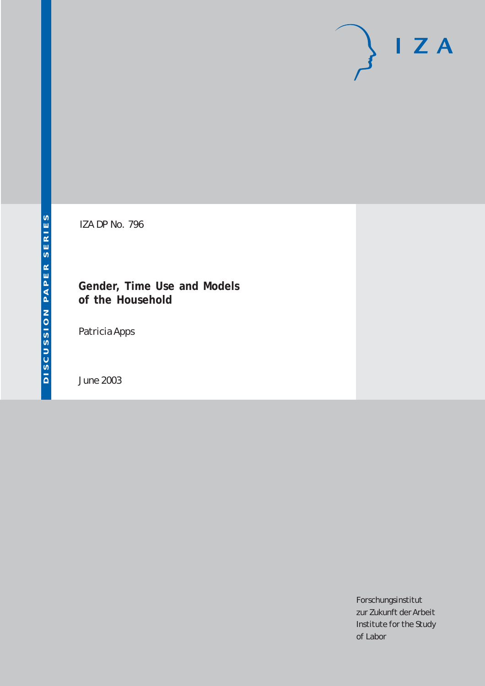# $I Z A$

IZA DP No. 796

# **Gender, Time Use and Models of the Household**

Patricia Apps

June 2003

Forschungsinstitut zur Zukunft der Arbeit Institute for the Study of Labor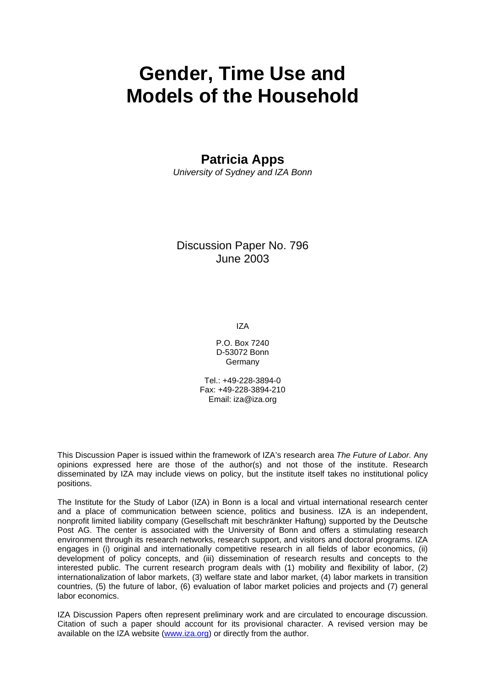# **Gender, Time Use and Models of the Household**

## **Patricia Apps**

*University of Sydney and IZA Bonn* 

### Discussion Paper No. 796 June 2003

IZA

P.O. Box 7240 D-53072 Bonn Germany

Tel.: +49-228-3894-0 Fax: +49-228-3894-210 Email: [iza@iza.org](mailto:iza@iza.org)

This Discussion Paper is issued within the framework of IZA's research area *The Future of Labor.* Any opinions expressed here are those of the author(s) and not those of the institute. Research disseminated by IZA may include views on policy, but the institute itself takes no institutional policy positions.

The Institute for the Study of Labor (IZA) in Bonn is a local and virtual international research center and a place of communication between science, politics and business. IZA is an independent, nonprofit limited liability company (Gesellschaft mit beschränkter Haftung) supported by the Deutsche Post AG. The center is associated with the University of Bonn and offers a stimulating research environment through its research networks, research support, and visitors and doctoral programs. IZA engages in (i) original and internationally competitive research in all fields of labor economics, (ii) development of policy concepts, and (iii) dissemination of research results and concepts to the interested public. The current research program deals with (1) mobility and flexibility of labor, (2) internationalization of labor markets, (3) welfare state and labor market, (4) labor markets in transition countries, (5) the future of labor, (6) evaluation of labor market policies and projects and (7) general labor economics.

IZA Discussion Papers often represent preliminary work and are circulated to encourage discussion. Citation of such a paper should account for its provisional character. A revised version may be available on the IZA website ([www.iza.org](http://www.iza.org/)) or directly from the author.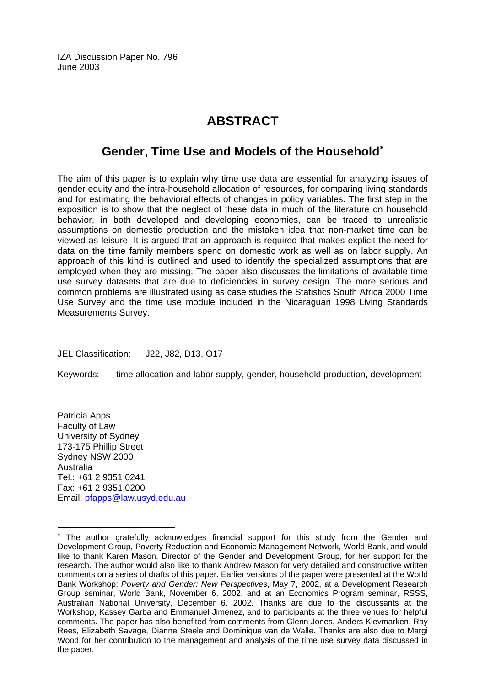IZA Discussion Paper No. 796 June 2003

# **ABSTRACT**

## **Gender, Time Use and Models of the Household**[∗](#page-2-0)

The aim of this paper is to explain why time use data are essential for analyzing issues of gender equity and the intra-household allocation of resources, for comparing living standards and for estimating the behavioral effects of changes in policy variables. The first step in the exposition is to show that the neglect of these data in much of the literature on household behavior, in both developed and developing economies, can be traced to unrealistic assumptions on domestic production and the mistaken idea that non-market time can be viewed as leisure. It is argued that an approach is required that makes explicit the need for data on the time family members spend on domestic work as well as on labor supply. An approach of this kind is outlined and used to identify the specialized assumptions that are employed when they are missing. The paper also discusses the limitations of available time use survey datasets that are due to deficiencies in survey design. The more serious and common problems are illustrated using as case studies the Statistics South Africa 2000 Time Use Survey and the time use module included in the Nicaraguan 1998 Living Standards Measurements Survey.

JEL Classification: J22, J82, D13, O17

Keywords: time allocation and labor supply, gender, household production, development

Patricia Apps Faculty of Law University of Sydney 173-175 Phillip Street Sydney NSW 2000 Australia Tel.: +61 2 9351 0241 Fax: +61 2 9351 0200 Email: [pfapps@law.usyd.edu.au](mailto:pfapps@law.usyd.edu.au) 

<span id="page-2-0"></span><sup>∗</sup> The author gratefully acknowledges financial support for this study from the Gender and Development Group, Poverty Reduction and Economic Management Network, World Bank, and would like to thank Karen Mason, Director of the Gender and Development Group, for her support for the research. The author would also like to thank Andrew Mason for very detailed and constructive written comments on a series of drafts of this paper. Earlier versions of the paper were presented at the World Bank Workshop: *Poverty and Gender: New Perspectives*, May 7, 2002, at a Development Research Group seminar, World Bank, November 6, 2002, and at an Economics Program seminar, RSSS, Australian National University, December 6, 2002. Thanks are due to the discussants at the Workshop, Kassey Garba and Emmanuel Jimenez, and to participants at the three venues for helpful comments. The paper has also benefited from comments from Glenn Jones, Anders Klevmarken, Ray Rees, Elizabeth Savage, Dianne Steele and Dominique van de Walle. Thanks are also due to Margi Wood for her contribution to the management and analysis of the time use survey data discussed in the paper.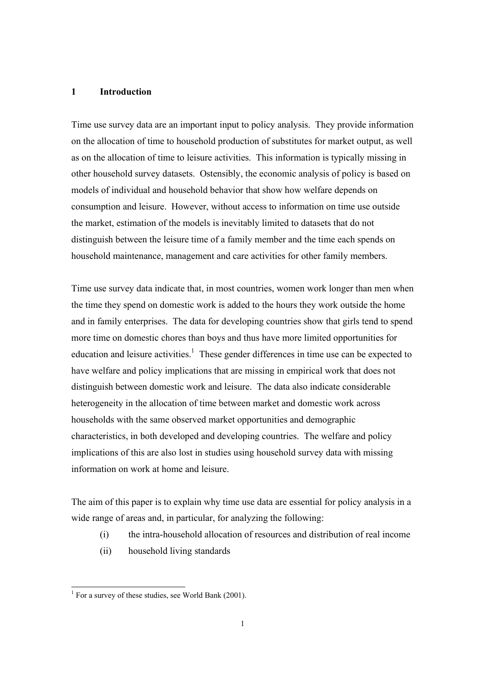#### **1 Introduction**

Time use survey data are an important input to policy analysis. They provide information on the allocation of time to household production of substitutes for market output, as well as on the allocation of time to leisure activities. This information is typically missing in other household survey datasets. Ostensibly, the economic analysis of policy is based on models of individual and household behavior that show how welfare depends on consumption and leisure. However, without access to information on time use outside the market, estimation of the models is inevitably limited to datasets that do not distinguish between the leisure time of a family member and the time each spends on household maintenance, management and care activities for other family members.

Time use survey data indicate that, in most countries, women work longer than men when the time they spend on domestic work is added to the hours they work outside the home and in family enterprises. The data for developing countries show that girls tend to spend more time on domestic chores than boys and thus have more limited opportunities for education and leisure activities.<sup>1</sup> These gender differences in time use can be expected to have welfare and policy implications that are missing in empirical work that does not distinguish between domestic work and leisure. The data also indicate considerable heterogeneity in the allocation of time between market and domestic work across households with the same observed market opportunities and demographic characteristics, in both developed and developing countries. The welfare and policy implications of this are also lost in studies using household survey data with missing information on work at home and leisure.

The aim of this paper is to explain why time use data are essential for policy analysis in a wide range of areas and, in particular, for analyzing the following:

- (i) the intra-household allocation of resources and distribution of real income
- (ii) household living standards

<sup>&</sup>lt;sup>1</sup> For a survey of these studies, see World Bank (2001).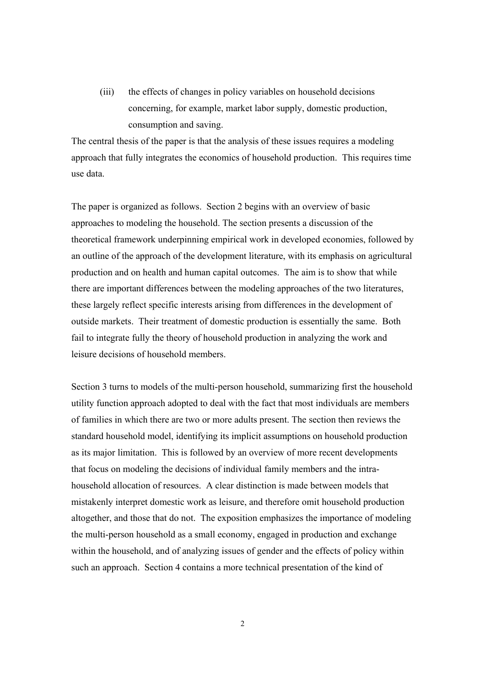(iii) the effects of changes in policy variables on household decisions concerning, for example, market labor supply, domestic production, consumption and saving.

The central thesis of the paper is that the analysis of these issues requires a modeling approach that fully integrates the economics of household production. This requires time use data.

The paper is organized as follows. Section 2 begins with an overview of basic approaches to modeling the household. The section presents a discussion of the theoretical framework underpinning empirical work in developed economies, followed by an outline of the approach of the development literature, with its emphasis on agricultural production and on health and human capital outcomes. The aim is to show that while there are important differences between the modeling approaches of the two literatures, these largely reflect specific interests arising from differences in the development of outside markets. Their treatment of domestic production is essentially the same. Both fail to integrate fully the theory of household production in analyzing the work and leisure decisions of household members.

Section 3 turns to models of the multi-person household, summarizing first the household utility function approach adopted to deal with the fact that most individuals are members of families in which there are two or more adults present. The section then reviews the standard household model, identifying its implicit assumptions on household production as its major limitation. This is followed by an overview of more recent developments that focus on modeling the decisions of individual family members and the intrahousehold allocation of resources. A clear distinction is made between models that mistakenly interpret domestic work as leisure, and therefore omit household production altogether, and those that do not. The exposition emphasizes the importance of modeling the multi-person household as a small economy, engaged in production and exchange within the household, and of analyzing issues of gender and the effects of policy within such an approach. Section 4 contains a more technical presentation of the kind of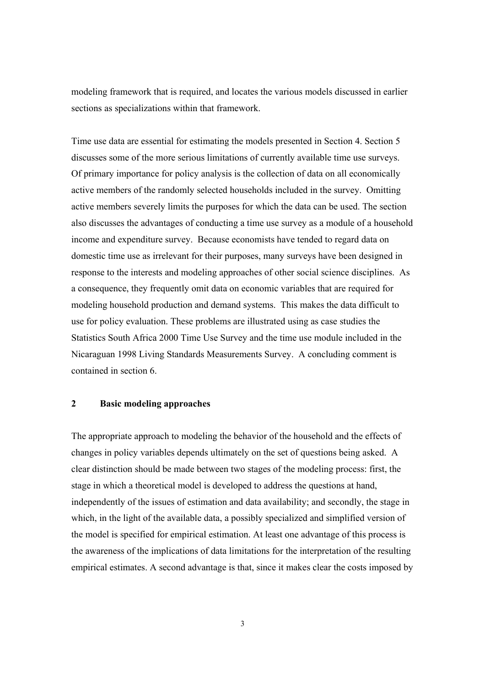modeling framework that is required, and locates the various models discussed in earlier sections as specializations within that framework.

Time use data are essential for estimating the models presented in Section 4. Section 5 discusses some of the more serious limitations of currently available time use surveys. Of primary importance for policy analysis is the collection of data on all economically active members of the randomly selected households included in the survey. Omitting active members severely limits the purposes for which the data can be used. The section also discusses the advantages of conducting a time use survey as a module of a household income and expenditure survey. Because economists have tended to regard data on domestic time use as irrelevant for their purposes, many surveys have been designed in response to the interests and modeling approaches of other social science disciplines. As a consequence, they frequently omit data on economic variables that are required for modeling household production and demand systems. This makes the data difficult to use for policy evaluation. These problems are illustrated using as case studies the Statistics South Africa 2000 Time Use Survey and the time use module included in the Nicaraguan 1998 Living Standards Measurements Survey. A concluding comment is contained in section 6.

#### **2 Basic modeling approaches**

The appropriate approach to modeling the behavior of the household and the effects of changes in policy variables depends ultimately on the set of questions being asked. A clear distinction should be made between two stages of the modeling process: first, the stage in which a theoretical model is developed to address the questions at hand, independently of the issues of estimation and data availability; and secondly, the stage in which, in the light of the available data, a possibly specialized and simplified version of the model is specified for empirical estimation. At least one advantage of this process is the awareness of the implications of data limitations for the interpretation of the resulting empirical estimates. A second advantage is that, since it makes clear the costs imposed by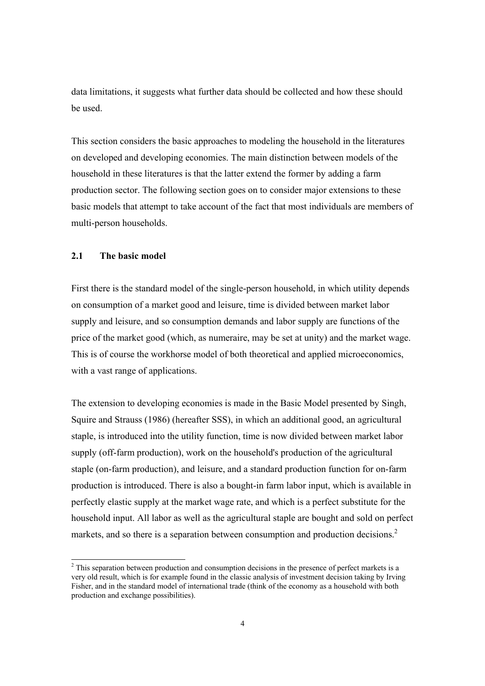data limitations, it suggests what further data should be collected and how these should be used.

This section considers the basic approaches to modeling the household in the literatures on developed and developing economies. The main distinction between models of the household in these literatures is that the latter extend the former by adding a farm production sector. The following section goes on to consider major extensions to these basic models that attempt to take account of the fact that most individuals are members of multi-person households.

#### **2.1 The basic model**

l

First there is the standard model of the single-person household, in which utility depends on consumption of a market good and leisure, time is divided between market labor supply and leisure, and so consumption demands and labor supply are functions of the price of the market good (which, as numeraire, may be set at unity) and the market wage. This is of course the workhorse model of both theoretical and applied microeconomics, with a vast range of applications.

The extension to developing economies is made in the Basic Model presented by Singh, Squire and Strauss (1986) (hereafter SSS), in which an additional good, an agricultural staple, is introduced into the utility function, time is now divided between market labor supply (off-farm production), work on the household's production of the agricultural staple (on-farm production), and leisure, and a standard production function for on-farm production is introduced. There is also a bought-in farm labor input, which is available in perfectly elastic supply at the market wage rate, and which is a perfect substitute for the household input. All labor as well as the agricultural staple are bought and sold on perfect markets, and so there is a separation between consumption and production decisions.<sup>2</sup>

 $2$  This separation between production and consumption decisions in the presence of perfect markets is a very old result, which is for example found in the classic analysis of investment decision taking by Irving Fisher, and in the standard model of international trade (think of the economy as a household with both production and exchange possibilities).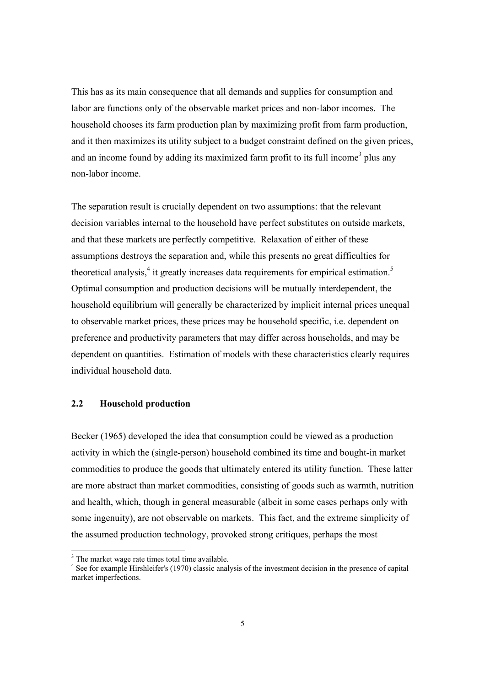This has as its main consequence that all demands and supplies for consumption and labor are functions only of the observable market prices and non-labor incomes. The household chooses its farm production plan by maximizing profit from farm production, and it then maximizes its utility subject to a budget constraint defined on the given prices, and an income found by adding its maximized farm profit to its full income<sup>3</sup> plus any non-labor income.

The separation result is crucially dependent on two assumptions: that the relevant decision variables internal to the household have perfect substitutes on outside markets, and that these markets are perfectly competitive. Relaxation of either of these assumptions destroys the separation and, while this presents no great difficulties for theoretical analysis, $4$  it greatly increases data requirements for empirical estimation.<sup>5</sup> Optimal consumption and production decisions will be mutually interdependent, the household equilibrium will generally be characterized by implicit internal prices unequal to observable market prices, these prices may be household specific, i.e. dependent on preference and productivity parameters that may differ across households, and may be dependent on quantities. Estimation of models with these characteristics clearly requires individual household data.

#### **2.2 Household production**

Becker (1965) developed the idea that consumption could be viewed as a production activity in which the (single-person) household combined its time and bought-in market commodities to produce the goods that ultimately entered its utility function. These latter are more abstract than market commodities, consisting of goods such as warmth, nutrition and health, which, though in general measurable (albeit in some cases perhaps only with some ingenuity), are not observable on markets. This fact, and the extreme simplicity of the assumed production technology, provoked strong critiques, perhaps the most

<sup>&</sup>lt;sup>3</sup> The market wage rate times total time available.

<sup>&</sup>lt;sup>4</sup> See for example Hirshleifer's (1970) classic analysis of the investment decision in the presence of capital market imperfections.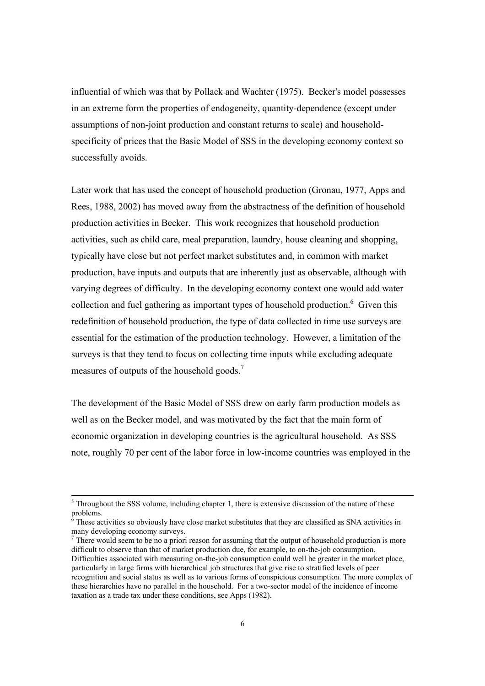influential of which was that by Pollack and Wachter (1975). Becker's model possesses in an extreme form the properties of endogeneity, quantity-dependence (except under assumptions of non-joint production and constant returns to scale) and householdspecificity of prices that the Basic Model of SSS in the developing economy context so successfully avoids.

Later work that has used the concept of household production (Gronau, 1977, Apps and Rees, 1988, 2002) has moved away from the abstractness of the definition of household production activities in Becker. This work recognizes that household production activities, such as child care, meal preparation, laundry, house cleaning and shopping, typically have close but not perfect market substitutes and, in common with market production, have inputs and outputs that are inherently just as observable, although with varying degrees of difficulty. In the developing economy context one would add water collection and fuel gathering as important types of household production. $6$  Given this redefinition of household production, the type of data collected in time use surveys are essential for the estimation of the production technology. However, a limitation of the surveys is that they tend to focus on collecting time inputs while excluding adequate measures of outputs of the household goods.<sup>7</sup>

The development of the Basic Model of SSS drew on early farm production models as well as on the Becker model, and was motivated by the fact that the main form of economic organization in developing countries is the agricultural household. As SSS note, roughly 70 per cent of the labor force in low-income countries was employed in the

 <sup>5</sup>  $5$  Throughout the SSS volume, including chapter 1, there is extensive discussion of the nature of these problems.<br><sup>6</sup> These act

These activities so obviously have close market substitutes that they are classified as SNA activities in many developing economy surveys.

 $<sup>7</sup>$  There would seem to be no a priori reason for assuming that the output of household production is more</sup> difficult to observe than that of market production due, for example, to on-the-job consumption. Difficulties associated with measuring on-the-job consumption could well be greater in the market place, particularly in large firms with hierarchical job structures that give rise to stratified levels of peer recognition and social status as well as to various forms of conspicious consumption. The more complex of these hierarchies have no parallel in the household. For a two-sector model of the incidence of income taxation as a trade tax under these conditions, see Apps (1982).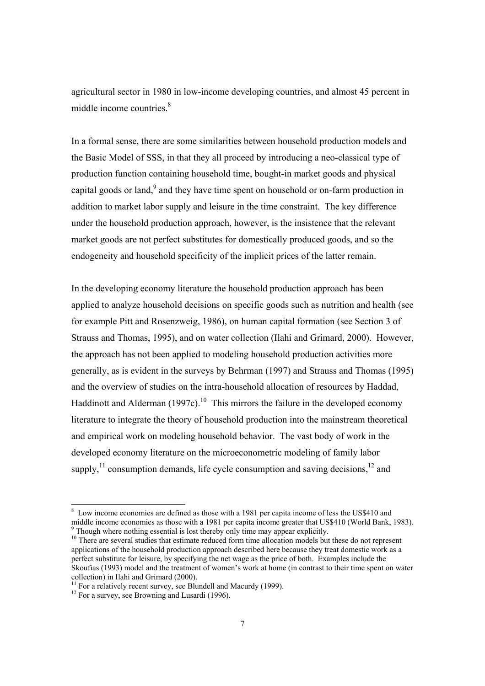agricultural sector in 1980 in low-income developing countries, and almost 45 percent in middle income countries.<sup>8</sup>

In a formal sense, there are some similarities between household production models and the Basic Model of SSS, in that they all proceed by introducing a neo-classical type of production function containing household time, bought-in market goods and physical capital goods or land, $9$  and they have time spent on household or on-farm production in addition to market labor supply and leisure in the time constraint. The key difference under the household production approach, however, is the insistence that the relevant market goods are not perfect substitutes for domestically produced goods, and so the endogeneity and household specificity of the implicit prices of the latter remain.

In the developing economy literature the household production approach has been applied to analyze household decisions on specific goods such as nutrition and health (see for example Pitt and Rosenzweig, 1986), on human capital formation (see Section 3 of Strauss and Thomas, 1995), and on water collection (Ilahi and Grimard, 2000). However, the approach has not been applied to modeling household production activities more generally, as is evident in the surveys by Behrman (1997) and Strauss and Thomas (1995) and the overview of studies on the intra-household allocation of resources by Haddad, Haddinott and Alderman  $(1997c)^{10}$ . This mirrors the failure in the developed economy literature to integrate the theory of household production into the mainstream theoretical and empirical work on modeling household behavior. The vast body of work in the developed economy literature on the microeconometric modeling of family labor supply,  $^{11}$  consumption demands, life cycle consumption and saving decisions,  $^{12}$  and

<sup>&</sup>lt;sup>8</sup> Low income economies are defined as those with a 1981 per capita income of less the US\$410 and middle income economies as those with a 1981 per capita income greater that US\$410 (World Bank, 1983). 9 Though where nothing essential is lost thereby only time may appear explicitly.

<sup>&</sup>lt;sup>10</sup> There are several studies that estimate reduced form time allocation models but these do not represent applications of the household production approach described here because they treat domestic work as a perfect substitute for leisure, by specifying the net wage as the price of both. Examples include the Skoufias (1993) model and the treatment of women's work at home (in contrast to their time spent on water collection) in Ilahi and Grimard (2000).

<sup>&</sup>lt;sup>11</sup> For a relatively recent survey, see Blundell and Macurdy (1999).

<sup>&</sup>lt;sup>12</sup> For a survey, see Browning and Lusardi (1996).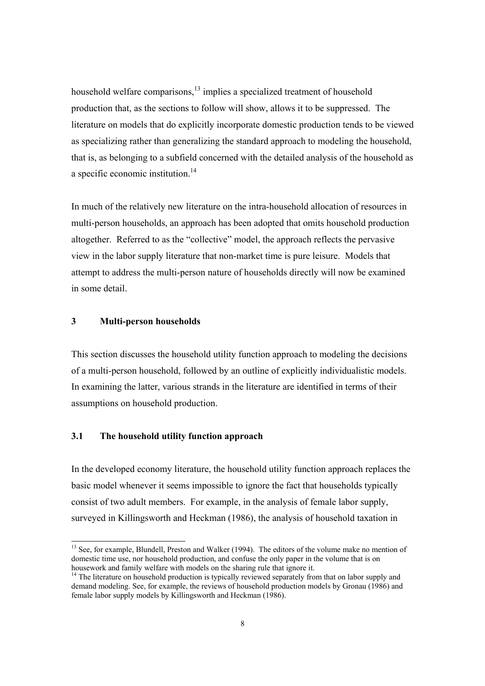household welfare comparisons, $13$  implies a specialized treatment of household production that, as the sections to follow will show, allows it to be suppressed. The literature on models that do explicitly incorporate domestic production tends to be viewed as specializing rather than generalizing the standard approach to modeling the household, that is, as belonging to a subfield concerned with the detailed analysis of the household as a specific economic institution.<sup>14</sup>

In much of the relatively new literature on the intra-household allocation of resources in multi-person households, an approach has been adopted that omits household production altogether. Referred to as the "collective" model, the approach reflects the pervasive view in the labor supply literature that non-market time is pure leisure. Models that attempt to address the multi-person nature of households directly will now be examined in some detail.

#### **3 Multi-person households**

 $\overline{a}$ 

This section discusses the household utility function approach to modeling the decisions of a multi-person household, followed by an outline of explicitly individualistic models. In examining the latter, various strands in the literature are identified in terms of their assumptions on household production.

#### **3.1 The household utility function approach**

In the developed economy literature, the household utility function approach replaces the basic model whenever it seems impossible to ignore the fact that households typically consist of two adult members. For example, in the analysis of female labor supply, surveyed in Killingsworth and Heckman (1986), the analysis of household taxation in

<sup>&</sup>lt;sup>13</sup> See, for example, Blundell, Preston and Walker (1994). The editors of the volume make no mention of domestic time use, nor household production, and confuse the only paper in the volume that is on housework and family welfare with models on the sharing rule that ignore it.

 $14$  The literature on household production is typically reviewed separately from that on labor supply and demand modeling. See, for example, the reviews of household production models by Gronau (1986) and female labor supply models by Killingsworth and Heckman (1986).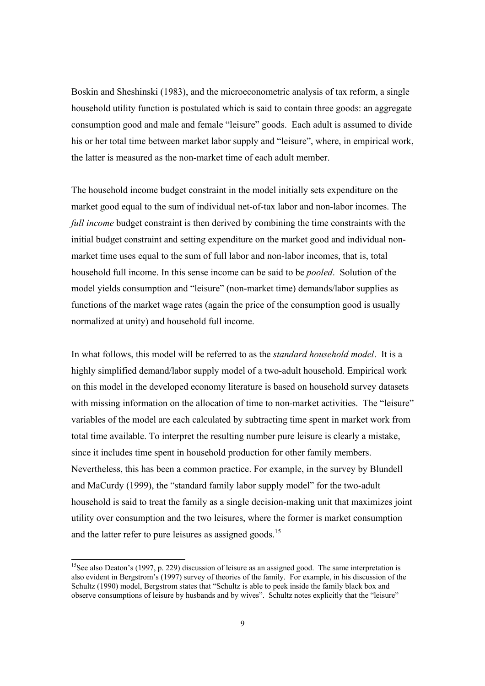Boskin and Sheshinski (1983), and the microeconometric analysis of tax reform, a single household utility function is postulated which is said to contain three goods: an aggregate consumption good and male and female "leisure" goods. Each adult is assumed to divide his or her total time between market labor supply and "leisure", where, in empirical work, the latter is measured as the non-market time of each adult member.

The household income budget constraint in the model initially sets expenditure on the market good equal to the sum of individual net-of-tax labor and non-labor incomes. The *full income* budget constraint is then derived by combining the time constraints with the initial budget constraint and setting expenditure on the market good and individual nonmarket time uses equal to the sum of full labor and non-labor incomes, that is, total household full income. In this sense income can be said to be *pooled*. Solution of the model yields consumption and "leisure" (non-market time) demands/labor supplies as functions of the market wage rates (again the price of the consumption good is usually normalized at unity) and household full income.

In what follows, this model will be referred to as the *standard household model*. It is a highly simplified demand/labor supply model of a two-adult household. Empirical work on this model in the developed economy literature is based on household survey datasets with missing information on the allocation of time to non-market activities. The "leisure" variables of the model are each calculated by subtracting time spent in market work from total time available. To interpret the resulting number pure leisure is clearly a mistake, since it includes time spent in household production for other family members. Nevertheless, this has been a common practice. For example, in the survey by Blundell and MaCurdy (1999), the "standard family labor supply model" for the two-adult household is said to treat the family as a single decision-making unit that maximizes joint utility over consumption and the two leisures, where the former is market consumption and the latter refer to pure leisures as assigned goods.<sup>15</sup>

<sup>&</sup>lt;sup>15</sup>See also Deaton's (1997, p. 229) discussion of leisure as an assigned good. The same interpretation is also evident in Bergstrom's (1997) survey of theories of the family. For example, in his discussion of the Schultz (1990) model, Bergstrom states that "Schultz is able to peek inside the family black box and observe consumptions of leisure by husbands and by wives". Schultz notes explicitly that the "leisure"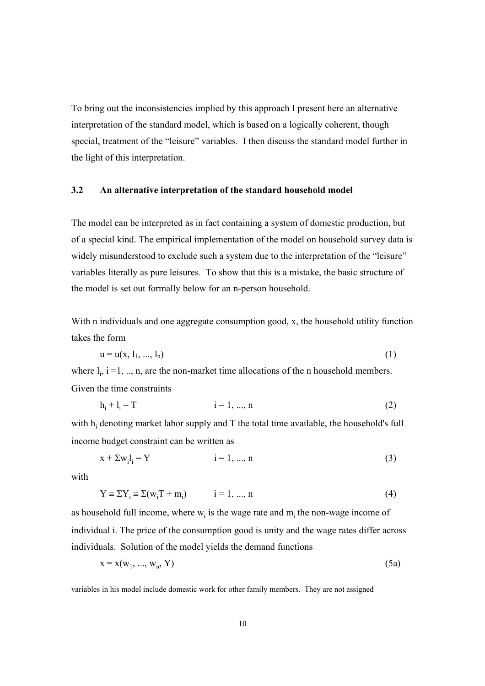To bring out the inconsistencies implied by this approach I present here an alternative interpretation of the standard model, which is based on a logically coherent, though special, treatment of the "leisure" variables. I then discuss the standard model further in the light of this interpretation.

#### **3.2 An alternative interpretation of the standard household model**

The model can be interpreted as in fact containing a system of domestic production, but of a special kind. The empirical implementation of the model on household survey data is widely misunderstood to exclude such a system due to the interpretation of the "leisure" variables literally as pure leisures. To show that this is a mistake, the basic structure of the model is set out formally below for an n-person household.

With n individuals and one aggregate consumption good, x, the household utility function takes the form

$$
u = u(x, 1_1, ..., 1_n)
$$
 (1)

where  $l_i$ ,  $i = 1, ..., n$ , are the non-market time allocations of the n household members. Given the time constraints

$$
h_i + l_i = T \t i = 1, ..., n \t (2)
$$

with  $h_i$  denoting market labor supply and T the total time available, the household's full income budget constraint can be written as

$$
x + \sum w_i l_i = Y \qquad i = 1, ..., n \qquad (3)
$$

with

l

$$
Y \equiv \Sigma Y_i \equiv \Sigma (w_i T + m_i) \qquad i = 1, ..., n \tag{4}
$$

as household full income, where  $w_i$  is the wage rate and  $m_i$  the non-wage income of individual i. The price of the consumption good is unity and the wage rates differ across individuals. Solution of the model yields the demand functions

$$
x = x(w_1, ..., w_n, Y)
$$
 (5a)

variables in his model include domestic work for other family members. They are not assigned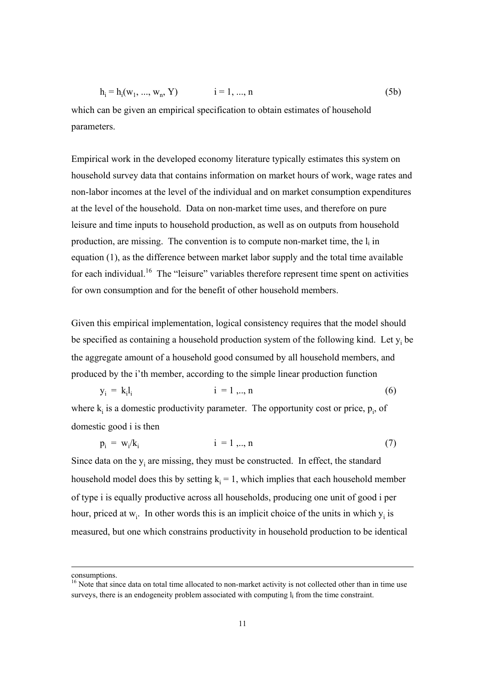$$
h_i = h_i(w_1, ..., w_n, Y) \qquad i = 1, ..., n \qquad (5b)
$$

which can be given an empirical specification to obtain estimates of household parameters.

Empirical work in the developed economy literature typically estimates this system on household survey data that contains information on market hours of work, wage rates and non-labor incomes at the level of the individual and on market consumption expenditures at the level of the household. Data on non-market time uses, and therefore on pure leisure and time inputs to household production, as well as on outputs from household production, are missing. The convention is to compute non-market time, the  $l_i$  in equation (1), as the difference between market labor supply and the total time available for each individual.<sup>16</sup> The "leisure" variables therefore represent time spent on activities for own consumption and for the benefit of other household members.

Given this empirical implementation, logical consistency requires that the model should be specified as containing a household production system of the following kind. Let  $y_i$  be the aggregate amount of a household good consumed by all household members, and produced by the i'th member, according to the simple linear production function

$$
y_i = k_i l_i
$$
  $i = 1, ..., n$  (6)

where  $k_i$  is a domestic productivity parameter. The opportunity cost or price,  $p_i$ , of domestic good i is then

$$
p_i = w_i / k_i \t i = 1, ..., n \t (7)
$$

Since data on the  $y_i$  are missing, they must be constructed. In effect, the standard household model does this by setting  $k_i = 1$ , which implies that each household member of type i is equally productive across all households, producing one unit of good i per hour, priced at  $w_i$ . In other words this is an implicit choice of the units in which  $y_i$  is measured, but one which constrains productivity in household production to be identical

consumptions.

<sup>&</sup>lt;sup>16</sup> Note that since data on total time allocated to non-market activity is not collected other than in time use surveys, there is an endogeneity problem associated with computing li from the time constraint.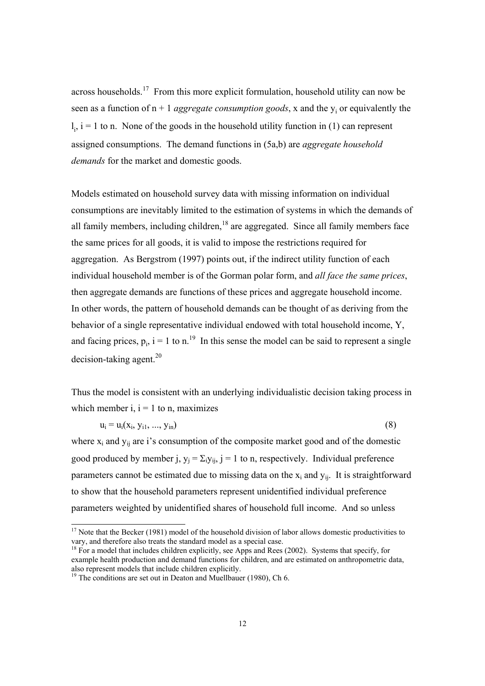across households.17 From this more explicit formulation, household utility can now be seen as a function of  $n + 1$  *aggregate consumption goods*, x and the  $y_i$  or equivalently the  $l_i$ , i = 1 to n. None of the goods in the household utility function in (1) can represent assigned consumptions. The demand functions in (5a,b) are *aggregate household demands* for the market and domestic goods.

Models estimated on household survey data with missing information on individual consumptions are inevitably limited to the estimation of systems in which the demands of all family members, including children, $^{18}$  are aggregated. Since all family members face the same prices for all goods, it is valid to impose the restrictions required for aggregation. As Bergstrom (1997) points out, if the indirect utility function of each individual household member is of the Gorman polar form, and *all face the same prices*, then aggregate demands are functions of these prices and aggregate household income. In other words, the pattern of household demands can be thought of as deriving from the behavior of a single representative individual endowed with total household income, Y, and facing prices,  $p_i$ ,  $i = 1$  to n.<sup>19</sup> In this sense the model can be said to represent a single decision-taking agent. $20$ 

Thus the model is consistent with an underlying individualistic decision taking process in which member i,  $i = 1$  to n, maximizes

$$
u_i = u_i(x_i, y_{i1}, ..., y_{in})
$$
 (8)

where  $x_i$  and  $y_{ii}$  are i's consumption of the composite market good and of the domestic good produced by member j,  $y_i = \sum_i y_{ii}$ , j = 1 to n, respectively. Individual preference parameters cannot be estimated due to missing data on the  $x_i$  and  $y_{ij}$ . It is straightforward to show that the household parameters represent unidentified individual preference parameters weighted by unidentified shares of household full income. And so unless

 $17$  Note that the Becker (1981) model of the household division of labor allows domestic productivities to vary, and therefore also treats the standard model as a special case.

 $^{18}$  For a model that includes children explicitly, see Apps and Rees (2002). Systems that specify, for example health production and demand functions for children, and are estimated on anthropometric data, also represent models that include children explicitly.

<sup>&</sup>lt;sup>19</sup> The conditions are set out in Deaton and Muellbauer (1980), Ch 6.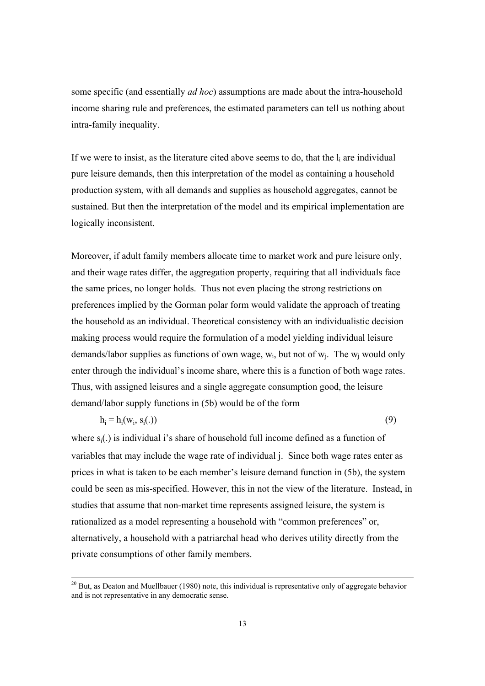some specific (and essentially *ad hoc*) assumptions are made about the intra-household income sharing rule and preferences, the estimated parameters can tell us nothing about intra-family inequality.

If we were to insist, as the literature cited above seems to do, that the  $l_i$  are individual pure leisure demands, then this interpretation of the model as containing a household production system, with all demands and supplies as household aggregates, cannot be sustained. But then the interpretation of the model and its empirical implementation are logically inconsistent.

Moreover, if adult family members allocate time to market work and pure leisure only, and their wage rates differ, the aggregation property, requiring that all individuals face the same prices, no longer holds. Thus not even placing the strong restrictions on preferences implied by the Gorman polar form would validate the approach of treating the household as an individual. Theoretical consistency with an individualistic decision making process would require the formulation of a model yielding individual leisure demands/labor supplies as functions of own wage,  $w_i$ , but not of  $w_i$ . The  $w_i$  would only enter through the individual's income share, where this is a function of both wage rates. Thus, with assigned leisures and a single aggregate consumption good, the leisure demand/labor supply functions in (5b) would be of the form

$$
h_i = h_i(w_i, s_i(.))
$$
\n<sup>(9)</sup>

where  $s_i(.)$  is individual i's share of household full income defined as a function of variables that may include the wage rate of individual j. Since both wage rates enter as prices in what is taken to be each member's leisure demand function in (5b), the system could be seen as mis-specified. However, this in not the view of the literature. Instead, in studies that assume that non-market time represents assigned leisure, the system is rationalized as a model representing a household with "common preferences" or, alternatively, a household with a patriarchal head who derives utility directly from the private consumptions of other family members.

<sup>&</sup>lt;sup>20</sup> But, as Deaton and Muellbauer (1980) note, this individual is representative only of aggregate behavior and is not representative in any democratic sense.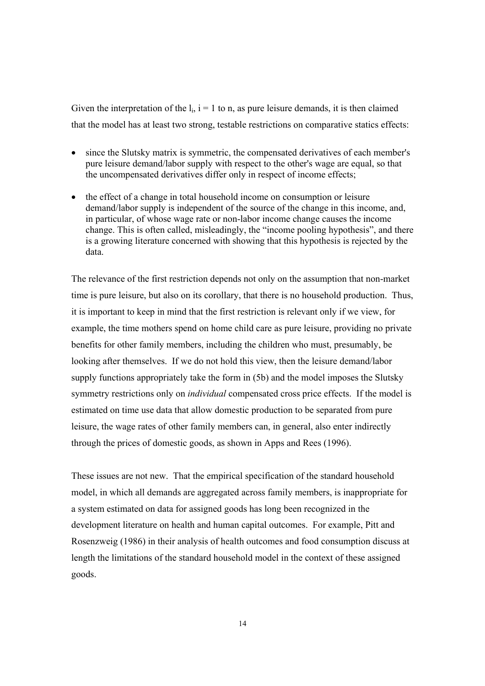Given the interpretation of the  $l_i$ ,  $i = 1$  to n, as pure leisure demands, it is then claimed that the model has at least two strong, testable restrictions on comparative statics effects:

- since the Slutsky matrix is symmetric, the compensated derivatives of each member's pure leisure demand/labor supply with respect to the other's wage are equal, so that the uncompensated derivatives differ only in respect of income effects;
- the effect of a change in total household income on consumption or leisure demand/labor supply is independent of the source of the change in this income, and, in particular, of whose wage rate or non-labor income change causes the income change. This is often called, misleadingly, the "income pooling hypothesis", and there is a growing literature concerned with showing that this hypothesis is rejected by the data.

The relevance of the first restriction depends not only on the assumption that non-market time is pure leisure, but also on its corollary, that there is no household production. Thus, it is important to keep in mind that the first restriction is relevant only if we view, for example, the time mothers spend on home child care as pure leisure, providing no private benefits for other family members, including the children who must, presumably, be looking after themselves. If we do not hold this view, then the leisure demand/labor supply functions appropriately take the form in (5b) and the model imposes the Slutsky symmetry restrictions only on *individual* compensated cross price effects. If the model is estimated on time use data that allow domestic production to be separated from pure leisure, the wage rates of other family members can, in general, also enter indirectly through the prices of domestic goods, as shown in Apps and Rees (1996).

These issues are not new. That the empirical specification of the standard household model, in which all demands are aggregated across family members, is inappropriate for a system estimated on data for assigned goods has long been recognized in the development literature on health and human capital outcomes. For example, Pitt and Rosenzweig (1986) in their analysis of health outcomes and food consumption discuss at length the limitations of the standard household model in the context of these assigned goods.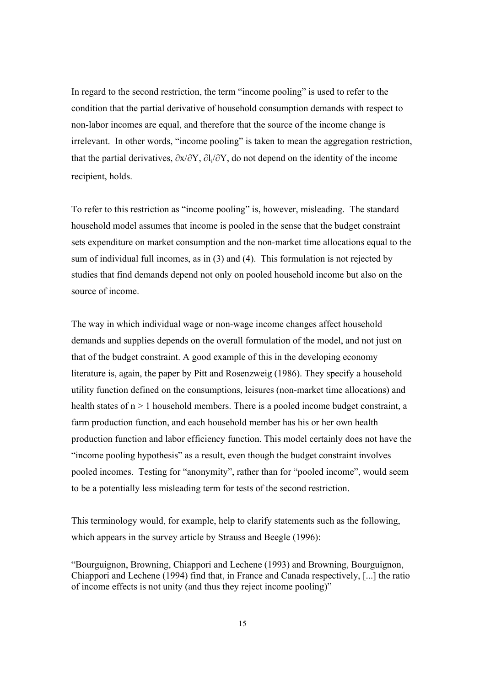In regard to the second restriction, the term "income pooling" is used to refer to the condition that the partial derivative of household consumption demands with respect to non-labor incomes are equal, and therefore that the source of the income change is irrelevant. In other words, "income pooling" is taken to mean the aggregation restriction, that the partial derivatives,  $\partial x/\partial Y$ ,  $\partial l_i/\partial Y$ , do not depend on the identity of the income recipient, holds.

To refer to this restriction as "income pooling" is, however, misleading. The standard household model assumes that income is pooled in the sense that the budget constraint sets expenditure on market consumption and the non-market time allocations equal to the sum of individual full incomes, as in (3) and (4). This formulation is not rejected by studies that find demands depend not only on pooled household income but also on the source of income.

The way in which individual wage or non-wage income changes affect household demands and supplies depends on the overall formulation of the model, and not just on that of the budget constraint. A good example of this in the developing economy literature is, again, the paper by Pitt and Rosenzweig (1986). They specify a household utility function defined on the consumptions, leisures (non-market time allocations) and health states of  $n > 1$  household members. There is a pooled income budget constraint, a farm production function, and each household member has his or her own health production function and labor efficiency function. This model certainly does not have the "income pooling hypothesis" as a result, even though the budget constraint involves pooled incomes. Testing for "anonymity", rather than for "pooled income", would seem to be a potentially less misleading term for tests of the second restriction.

This terminology would, for example, help to clarify statements such as the following, which appears in the survey article by Strauss and Beegle (1996):

"Bourguignon, Browning, Chiappori and Lechene (1993) and Browning, Bourguignon, Chiappori and Lechene (1994) find that, in France and Canada respectively, [...] the ratio of income effects is not unity (and thus they reject income pooling)"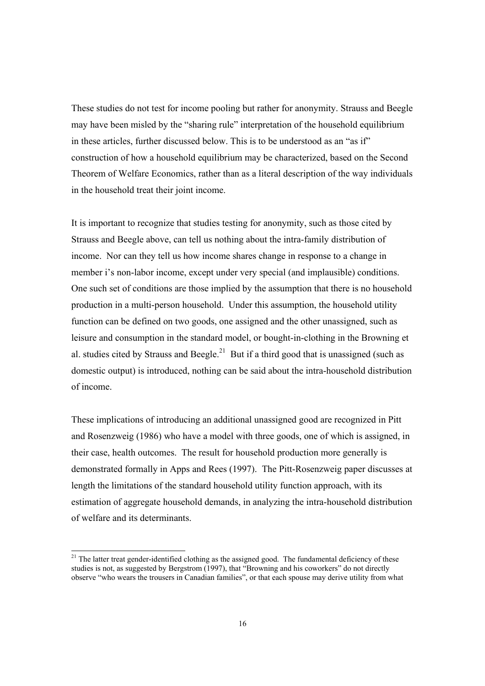These studies do not test for income pooling but rather for anonymity. Strauss and Beegle may have been misled by the "sharing rule" interpretation of the household equilibrium in these articles, further discussed below. This is to be understood as an "as if" construction of how a household equilibrium may be characterized, based on the Second Theorem of Welfare Economics, rather than as a literal description of the way individuals in the household treat their joint income.

It is important to recognize that studies testing for anonymity, such as those cited by Strauss and Beegle above, can tell us nothing about the intra-family distribution of income. Nor can they tell us how income shares change in response to a change in member i's non-labor income, except under very special (and implausible) conditions. One such set of conditions are those implied by the assumption that there is no household production in a multi-person household. Under this assumption, the household utility function can be defined on two goods, one assigned and the other unassigned, such as leisure and consumption in the standard model, or bought-in-clothing in the Browning et al. studies cited by Strauss and Beegle.<sup>21</sup> But if a third good that is unassigned (such as domestic output) is introduced, nothing can be said about the intra-household distribution of income.

These implications of introducing an additional unassigned good are recognized in Pitt and Rosenzweig (1986) who have a model with three goods, one of which is assigned, in their case, health outcomes. The result for household production more generally is demonstrated formally in Apps and Rees (1997). The Pitt-Rosenzweig paper discusses at length the limitations of the standard household utility function approach, with its estimation of aggregate household demands, in analyzing the intra-household distribution of welfare and its determinants.

 $21$  The latter treat gender-identified clothing as the assigned good. The fundamental deficiency of these studies is not, as suggested by Bergstrom (1997), that "Browning and his coworkers" do not directly observe "who wears the trousers in Canadian families", or that each spouse may derive utility from what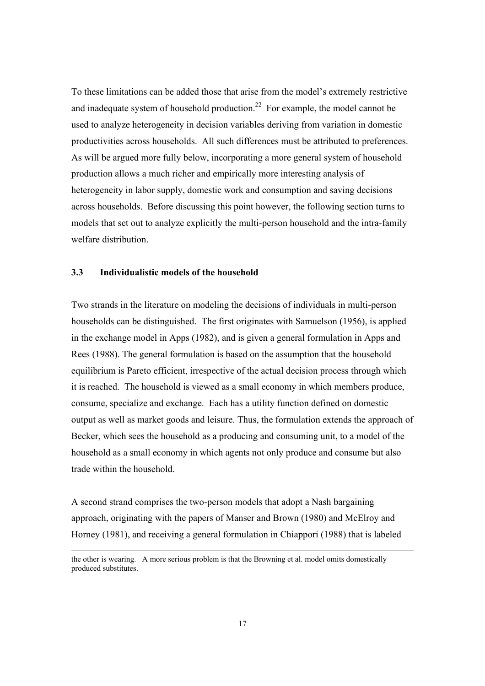To these limitations can be added those that arise from the model's extremely restrictive and inadequate system of household production.<sup>22</sup> For example, the model cannot be used to analyze heterogeneity in decision variables deriving from variation in domestic productivities across households. All such differences must be attributed to preferences. As will be argued more fully below, incorporating a more general system of household production allows a much richer and empirically more interesting analysis of heterogeneity in labor supply, domestic work and consumption and saving decisions across households. Before discussing this point however, the following section turns to models that set out to analyze explicitly the multi-person household and the intra-family welfare distribution.

#### **3.3 Individualistic models of the household**

 $\overline{a}$ 

Two strands in the literature on modeling the decisions of individuals in multi-person households can be distinguished. The first originates with Samuelson (1956), is applied in the exchange model in Apps (1982), and is given a general formulation in Apps and Rees (1988). The general formulation is based on the assumption that the household equilibrium is Pareto efficient, irrespective of the actual decision process through which it is reached. The household is viewed as a small economy in which members produce, consume, specialize and exchange. Each has a utility function defined on domestic output as well as market goods and leisure. Thus, the formulation extends the approach of Becker, which sees the household as a producing and consuming unit, to a model of the household as a small economy in which agents not only produce and consume but also trade within the household.

A second strand comprises the two-person models that adopt a Nash bargaining approach, originating with the papers of Manser and Brown (1980) and McElroy and Horney (1981), and receiving a general formulation in Chiappori (1988) that is labeled

the other is wearing. A more serious problem is that the Browning et al. model omits domestically produced substitutes.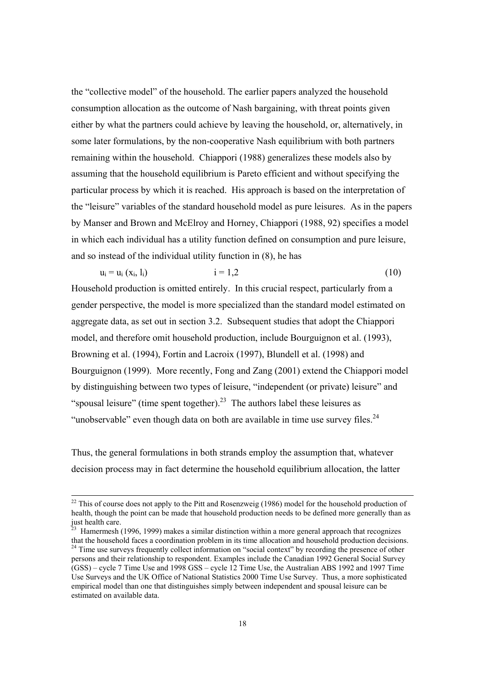the "collective model" of the household. The earlier papers analyzed the household consumption allocation as the outcome of Nash bargaining, with threat points given either by what the partners could achieve by leaving the household, or, alternatively, in some later formulations, by the non-cooperative Nash equilibrium with both partners remaining within the household. Chiappori (1988) generalizes these models also by assuming that the household equilibrium is Pareto efficient and without specifying the particular process by which it is reached. His approach is based on the interpretation of the "leisure" variables of the standard household model as pure leisures. As in the papers by Manser and Brown and McElroy and Horney, Chiappori (1988, 92) specifies a model in which each individual has a utility function defined on consumption and pure leisure, and so instead of the individual utility function in (8), he has

 $u_i = u_i (x_i, l_i)$   $i = 1,2$  (10) Household production is omitted entirely. In this crucial respect, particularly from a gender perspective, the model is more specialized than the standard model estimated on aggregate data, as set out in section 3.2. Subsequent studies that adopt the Chiappori model, and therefore omit household production, include Bourguignon et al. (1993), Browning et al. (1994), Fortin and Lacroix (1997), Blundell et al. (1998) and Bourguignon (1999). More recently, Fong and Zang (2001) extend the Chiappori model by distinguishing between two types of leisure, "independent (or private) leisure" and "spousal leisure" (time spent together).<sup>23</sup> The authors label these leisures as "unobservable" even though data on both are available in time use survey files. $24$ 

Thus, the general formulations in both strands employ the assumption that, whatever decision process may in fact determine the household equilibrium allocation, the latter

 $^{22}$  This of course does not apply to the Pitt and Rosenzweig (1986) model for the household production of health, though the point can be made that household production needs to be defined more generally than as  $\frac{1}{22}$  just health care.

<sup>23</sup> Hamermesh (1996, 1999) makes a similar distinction within a more general approach that recognizes that the household faces a coordination problem in its time allocation and household production decisions. <sup>24</sup> Time use surveys frequently collect information on "social context" by recording the presence of other persons and their relationship to respondent. Examples include the Canadian 1992 General Social Survey (GSS) – cycle 7 Time Use and 1998 GSS – cycle 12 Time Use, the Australian ABS 1992 and 1997 Time Use Surveys and the UK Office of National Statistics 2000 Time Use Survey. Thus, a more sophisticated empirical model than one that distinguishes simply between independent and spousal leisure can be estimated on available data.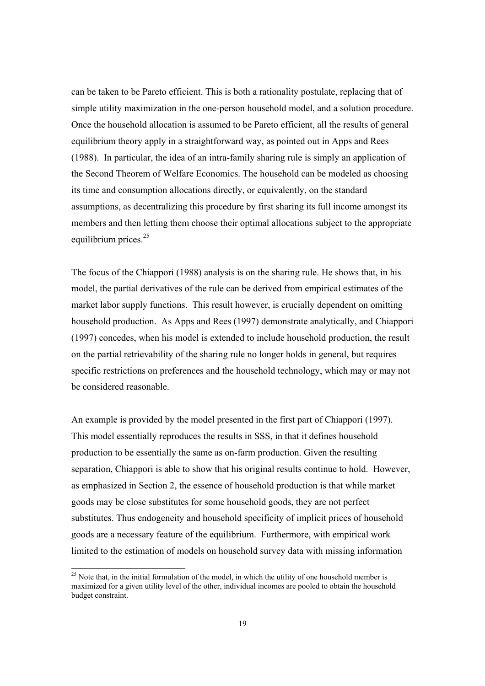can be taken to be Pareto efficient. This is both a rationality postulate, replacing that of simple utility maximization in the one-person household model, and a solution procedure. Once the household allocation is assumed to be Pareto efficient, all the results of general equilibrium theory apply in a straightforward way, as pointed out in Apps and Rees (1988). In particular, the idea of an intra-family sharing rule is simply an application of the Second Theorem of Welfare Economics. The household can be modeled as choosing its time and consumption allocations directly, or equivalently, on the standard assumptions, as decentralizing this procedure by first sharing its full income amongst its members and then letting them choose their optimal allocations subject to the appropriate equilibrium prices.<sup>25</sup>

The focus of the Chiappori (1988) analysis is on the sharing rule. He shows that, in his model, the partial derivatives of the rule can be derived from empirical estimates of the market labor supply functions. This result however, is crucially dependent on omitting household production. As Apps and Rees (1997) demonstrate analytically, and Chiappori (1997) concedes, when his model is extended to include household production, the result on the partial retrievability of the sharing rule no longer holds in general, but requires specific restrictions on preferences and the household technology, which may or may not be considered reasonable.

An example is provided by the model presented in the first part of Chiappori (1997). This model essentially reproduces the results in SSS, in that it defines household production to be essentially the same as on-farm production. Given the resulting separation, Chiappori is able to show that his original results continue to hold. However, as emphasized in Section 2, the essence of household production is that while market goods may be close substitutes for some household goods, they are not perfect substitutes. Thus endogeneity and household specificity of implicit prices of household goods are a necessary feature of the equilibrium. Furthermore, with empirical work limited to the estimation of models on household survey data with missing information

 $^{25}$  Note that, in the initial formulation of the model, in which the utility of one household member is maximized for a given utility level of the other, individual incomes are pooled to obtain the household budget constraint.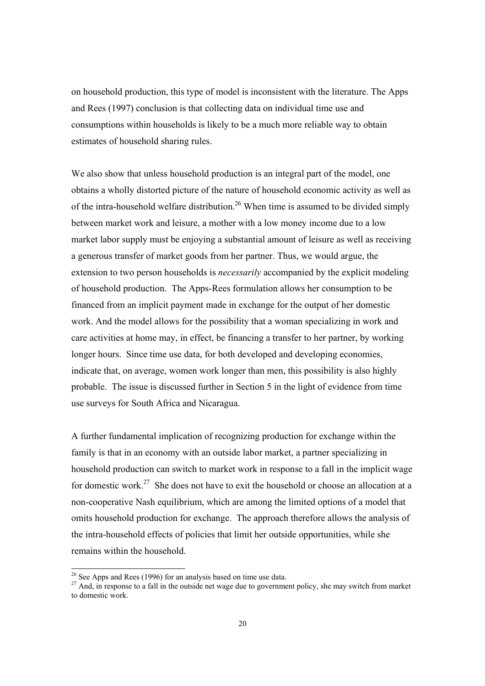on household production, this type of model is inconsistent with the literature. The Apps and Rees (1997) conclusion is that collecting data on individual time use and consumptions within households is likely to be a much more reliable way to obtain estimates of household sharing rules.

We also show that unless household production is an integral part of the model, one obtains a wholly distorted picture of the nature of household economic activity as well as of the intra-household welfare distribution.<sup>26</sup> When time is assumed to be divided simply between market work and leisure, a mother with a low money income due to a low market labor supply must be enjoying a substantial amount of leisure as well as receiving a generous transfer of market goods from her partner. Thus, we would argue, the extension to two person households is *necessarily* accompanied by the explicit modeling of household production. The Apps-Rees formulation allows her consumption to be financed from an implicit payment made in exchange for the output of her domestic work. And the model allows for the possibility that a woman specializing in work and care activities at home may, in effect, be financing a transfer to her partner, by working longer hours. Since time use data, for both developed and developing economies, indicate that, on average, women work longer than men, this possibility is also highly probable. The issue is discussed further in Section 5 in the light of evidence from time use surveys for South Africa and Nicaragua.

A further fundamental implication of recognizing production for exchange within the family is that in an economy with an outside labor market, a partner specializing in household production can switch to market work in response to a fall in the implicit wage for domestic work.<sup>27</sup> She does not have to exit the household or choose an allocation at a non-cooperative Nash equilibrium, which are among the limited options of a model that omits household production for exchange. The approach therefore allows the analysis of the intra-household effects of policies that limit her outside opportunities, while she remains within the household.

 $26$  See Apps and Rees (1996) for an analysis based on time use data.

 $^{27}$  And, in response to a fall in the outside net wage due to government policy, she may switch from market to domestic work.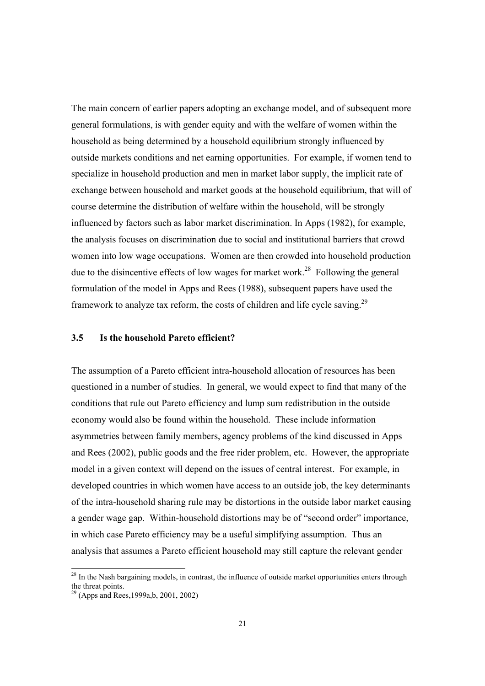The main concern of earlier papers adopting an exchange model, and of subsequent more general formulations, is with gender equity and with the welfare of women within the household as being determined by a household equilibrium strongly influenced by outside markets conditions and net earning opportunities. For example, if women tend to specialize in household production and men in market labor supply, the implicit rate of exchange between household and market goods at the household equilibrium, that will of course determine the distribution of welfare within the household, will be strongly influenced by factors such as labor market discrimination. In Apps (1982), for example, the analysis focuses on discrimination due to social and institutional barriers that crowd women into low wage occupations. Women are then crowded into household production due to the disincentive effects of low wages for market work.<sup>28</sup> Following the general formulation of the model in Apps and Rees (1988), subsequent papers have used the framework to analyze tax reform, the costs of children and life cycle saving.<sup>29</sup>

#### **3.5 Is the household Pareto efficient?**

The assumption of a Pareto efficient intra-household allocation of resources has been questioned in a number of studies. In general, we would expect to find that many of the conditions that rule out Pareto efficiency and lump sum redistribution in the outside economy would also be found within the household. These include information asymmetries between family members, agency problems of the kind discussed in Apps and Rees (2002), public goods and the free rider problem, etc. However, the appropriate model in a given context will depend on the issues of central interest. For example, in developed countries in which women have access to an outside job, the key determinants of the intra-household sharing rule may be distortions in the outside labor market causing a gender wage gap. Within-household distortions may be of "second order" importance, in which case Pareto efficiency may be a useful simplifying assumption. Thus an analysis that assumes a Pareto efficient household may still capture the relevant gender

 $2<sup>28</sup>$  In the Nash bargaining models, in contrast, the influence of outside market opportunities enters through the threat points.

<sup>&</sup>lt;sup>29</sup> (Apps and Rees, 1999a, b, 2001, 2002)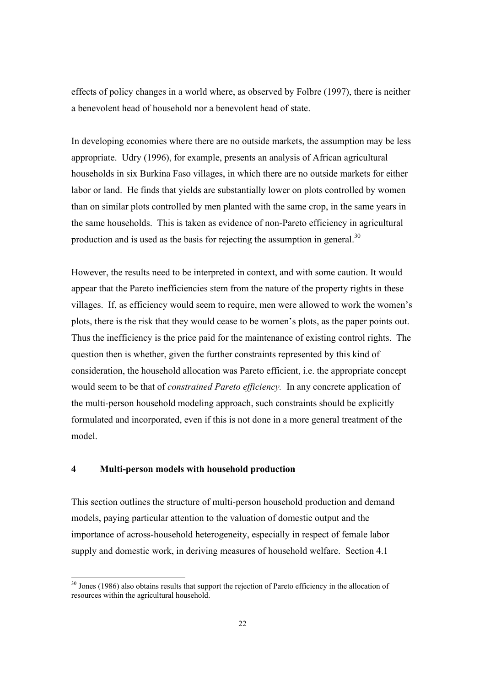effects of policy changes in a world where, as observed by Folbre (1997), there is neither a benevolent head of household nor a benevolent head of state.

In developing economies where there are no outside markets, the assumption may be less appropriate. Udry (1996), for example, presents an analysis of African agricultural households in six Burkina Faso villages, in which there are no outside markets for either labor or land. He finds that yields are substantially lower on plots controlled by women than on similar plots controlled by men planted with the same crop, in the same years in the same households. This is taken as evidence of non-Pareto efficiency in agricultural production and is used as the basis for rejecting the assumption in general.<sup>30</sup>

However, the results need to be interpreted in context, and with some caution. It would appear that the Pareto inefficiencies stem from the nature of the property rights in these villages. If, as efficiency would seem to require, men were allowed to work the women's plots, there is the risk that they would cease to be women's plots, as the paper points out. Thus the inefficiency is the price paid for the maintenance of existing control rights. The question then is whether, given the further constraints represented by this kind of consideration, the household allocation was Pareto efficient, i.e. the appropriate concept would seem to be that of *constrained Pareto efficiency.* In any concrete application of the multi-person household modeling approach, such constraints should be explicitly formulated and incorporated, even if this is not done in a more general treatment of the model.

#### **4 Multi-person models with household production**

 $\overline{a}$ 

This section outlines the structure of multi-person household production and demand models, paying particular attention to the valuation of domestic output and the importance of across-household heterogeneity, especially in respect of female labor supply and domestic work, in deriving measures of household welfare. Section 4.1

<sup>&</sup>lt;sup>30</sup> Jones (1986) also obtains results that support the rejection of Pareto efficiency in the allocation of resources within the agricultural household.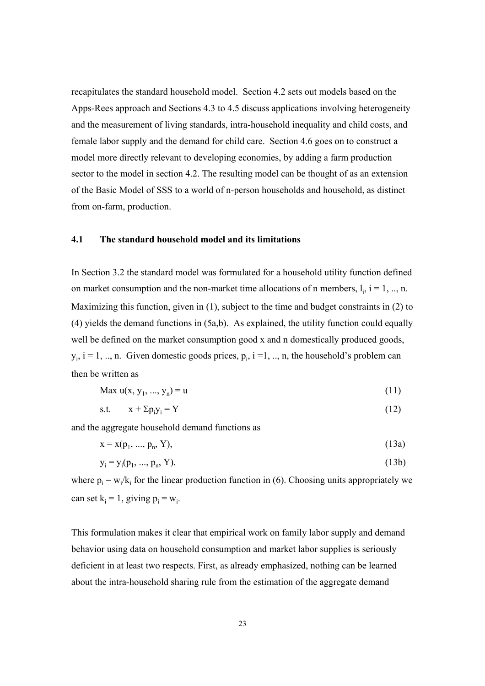recapitulates the standard household model. Section 4.2 sets out models based on the Apps-Rees approach and Sections 4.3 to 4.5 discuss applications involving heterogeneity and the measurement of living standards, intra-household inequality and child costs, and female labor supply and the demand for child care. Section 4.6 goes on to construct a model more directly relevant to developing economies, by adding a farm production sector to the model in section 4.2. The resulting model can be thought of as an extension of the Basic Model of SSS to a world of n-person households and household, as distinct from on-farm, production.

#### **4.1 The standard household model and its limitations**

In Section 3.2 the standard model was formulated for a household utility function defined on market consumption and the non-market time allocations of n members,  $l_i$ ,  $i = 1, ..., n$ . Maximizing this function, given in (1), subject to the time and budget constraints in (2) to (4) yields the demand functions in (5a,b). As explained, the utility function could equally well be defined on the market consumption good x and n domestically produced goods,  $y_i$ ,  $i = 1, ..., n$ . Given domestic goods prices,  $p_i$ ,  $i = 1, ..., n$ , the household's problem can then be written as

$$
\text{Max } u(x, y_1, ..., y_n) = u \tag{11}
$$

$$
s.t. \t x + \Sigma p_i y_i = Y \t (12)
$$

and the aggregate household demand functions as

$$
x = x(p_1, ..., p_n, Y),
$$
 (13a)

$$
y_i = y_i(p_1, ..., p_n, Y). \tag{13b}
$$

where  $p_i = w_i / k_i$  for the linear production function in (6). Choosing units appropriately we can set  $k_i = 1$ , giving  $p_i = w_i$ .

This formulation makes it clear that empirical work on family labor supply and demand behavior using data on household consumption and market labor supplies is seriously deficient in at least two respects. First, as already emphasized, nothing can be learned about the intra-household sharing rule from the estimation of the aggregate demand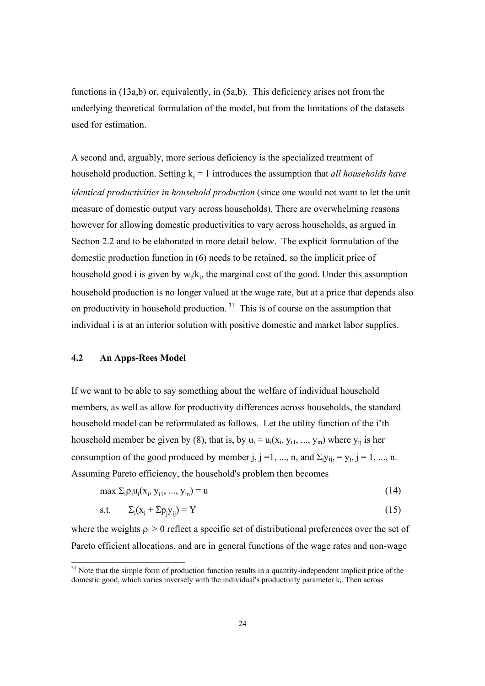functions in (13a,b) or, equivalently, in (5a,b). This deficiency arises not from the underlying theoretical formulation of the model, but from the limitations of the datasets used for estimation.

A second and, arguably, more serious deficiency is the specialized treatment of household production. Setting  $k_i = 1$  introduces the assumption that *all households have identical productivities in household production* (since one would not want to let the unit measure of domestic output vary across households). There are overwhelming reasons however for allowing domestic productivities to vary across households, as argued in Section 2.2 and to be elaborated in more detail below. The explicit formulation of the domestic production function in (6) needs to be retained, so the implicit price of household good i is given by  $w_i/k_i$ , the marginal cost of the good. Under this assumption household production is no longer valued at the wage rate, but at a price that depends also on productivity in household production.<sup>31</sup> This is of course on the assumption that individual i is at an interior solution with positive domestic and market labor supplies.

#### **4.2 An Apps-Rees Model**

l

If we want to be able to say something about the welfare of individual household members, as well as allow for productivity differences across households, the standard household model can be reformulated as follows. Let the utility function of the i'th household member be given by (8), that is, by  $u_i = u_i(x_i, y_{i1}, ..., y_{in})$  where  $y_{ij}$  is her consumption of the good produced by member j, j =1, ..., n, and  $\Sigma_j y_{ij}$ , =  $y_j$ , j = 1, ..., n. Assuming Pareto efficiency, the household's problem then becomes

$$
\max \Sigma_{i} \rho_{i} u_{i}(x_{i}, y_{i1}, ..., y_{in}) = u
$$
\n(14)

$$
s.t. \qquad \Sigma_i(x_i + \Sigma p_j y_{ij}) = Y \tag{15}
$$

where the weights  $\rho_i > 0$  reflect a specific set of distributional preferences over the set of Pareto efficient allocations, and are in general functions of the wage rates and non-wage

<sup>&</sup>lt;sup>31</sup> Note that the simple form of production function results in a quantity-independent implicit price of the domestic good, which varies inversely with the individual's productivity parameter  $k_i$ . Then across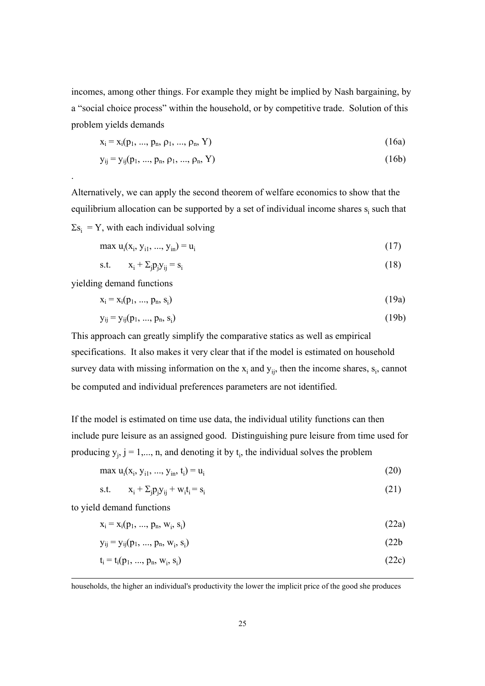incomes, among other things. For example they might be implied by Nash bargaining, by a "social choice process" within the household, or by competitive trade. Solution of this problem yields demands

$$
x_i = x_i(p_1, ..., p_n, p_1, ..., p_n, Y)
$$
 (16a)

$$
y_{ij} = y_{ij}(p_1, ..., p_n, \rho_1, ..., \rho_n, Y)
$$
 (16b)

Alternatively, we can apply the second theorem of welfare economics to show that the equilibrium allocation can be supported by a set of individual income shares  $s_i$  such that  $\Sigma$ s<sub>i</sub> = Y, with each individual solving

$$
\max u_i(x_i, y_{i1}, ..., y_{in}) = u_i
$$
 (17)

$$
s.t. \t x_i + \sum_j p_j y_{ij} = s_i \t (18)
$$

yielding demand functions

.

$$
x_i = x_i(p_1, ..., p_n, s_i)
$$
 (19a)

$$
y_{ij} = y_{ij}(p_1, ..., p_n, s_i)
$$
 (19b)

This approach can greatly simplify the comparative statics as well as empirical specifications. It also makes it very clear that if the model is estimated on household survey data with missing information on the  $x_i$  and  $y_{ij}$ , then the income shares,  $s_i$ , cannot be computed and individual preferences parameters are not identified.

If the model is estimated on time use data, the individual utility functions can then include pure leisure as an assigned good. Distinguishing pure leisure from time used for producing  $y_j$ ,  $j = 1,..., n$ , and denoting it by  $t_j$ , the individual solves the problem

$$
\max u_i(x_i, y_{i1}, ..., y_{in}, t_i) = u_i
$$
\n(20)

$$
s.t. \t x_i + \sum_j p_j y_{ij} + w_i t_i = s_i \t (21)
$$

to yield demand functions

 $\overline{a}$ 

$$
x_i = x_i(p_1, ..., p_n, w_i, s_i)
$$
 (22a)

$$
y_{ij} = y_{ij}(p_1, ..., p_n, w_i, s_i)
$$
 (22b)

$$
t_i = t_i(p_1, ..., p_n, w_i, s_i)
$$
 (22c)

households, the higher an individual's productivity the lower the implicit price of the good she produces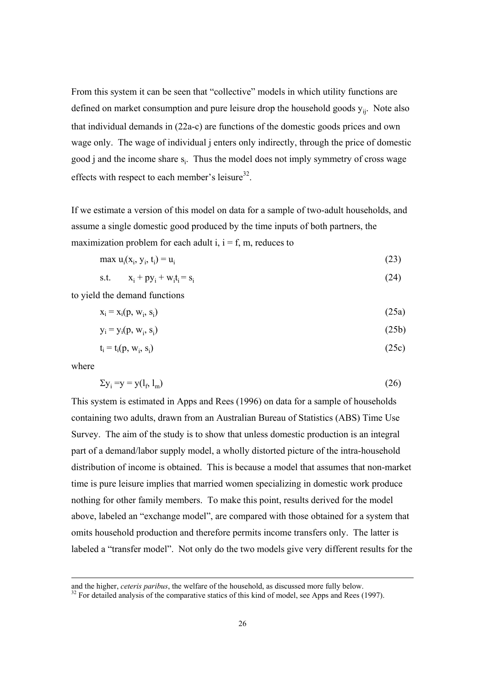From this system it can be seen that "collective" models in which utility functions are defined on market consumption and pure leisure drop the household goods  $y_{ii}$ . Note also that individual demands in (22a-c) are functions of the domestic goods prices and own wage only. The wage of individual j enters only indirectly, through the price of domestic good  $j$  and the income share  $s_i$ . Thus the model does not imply symmetry of cross wage effects with respect to each member's leisure $32$ .

If we estimate a version of this model on data for a sample of two-adult households, and assume a single domestic good produced by the time inputs of both partners, the maximization problem for each adult i,  $i = f$ , m, reduces to

$$
\max u_i(x_i, y_i, t_i) = u_i \tag{23}
$$

s.t. 
$$
x_i + py_i + w_i t_i = s_i
$$
 (24)

to yield the demand functions

$$
x_i = x_i(p, w_i, s_i) \tag{25a}
$$

$$
y_i = y_i(p, w_i, s_i) \tag{25b}
$$

$$
t_i = t_i(p, w_i, s_i) \tag{25c}
$$

where

 $\overline{a}$ 

$$
\Sigma y_i = y = y(l_f, l_m) \tag{26}
$$

This system is estimated in Apps and Rees (1996) on data for a sample of households containing two adults, drawn from an Australian Bureau of Statistics (ABS) Time Use Survey. The aim of the study is to show that unless domestic production is an integral part of a demand/labor supply model, a wholly distorted picture of the intra-household distribution of income is obtained. This is because a model that assumes that non-market time is pure leisure implies that married women specializing in domestic work produce nothing for other family members. To make this point, results derived for the model above, labeled an "exchange model", are compared with those obtained for a system that omits household production and therefore permits income transfers only. The latter is labeled a "transfer model". Not only do the two models give very different results for the

and the higher, *ceteris paribus*, the welfare of the household, as discussed more fully below.<br><sup>32</sup> For detailed analysis of the comparative statics of this kind of model, see Apps and Rees (1997).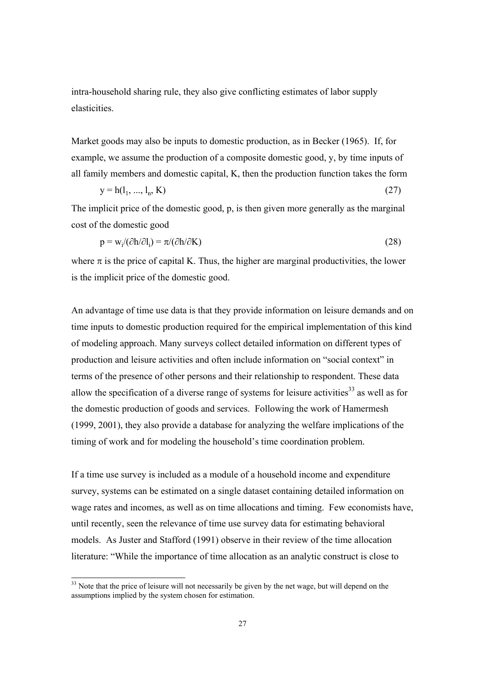intra-household sharing rule, they also give conflicting estimates of labor supply elasticities.

Market goods may also be inputs to domestic production, as in Becker (1965). If, for example, we assume the production of a composite domestic good, y, by time inputs of all family members and domestic capital, K, then the production function takes the form

$$
y = h(l_1, ..., l_n, K) \tag{27}
$$

The implicit price of the domestic good, p, is then given more generally as the marginal cost of the domestic good

$$
p = w_i / (\partial h / \partial l_i) = \pi / (\partial h / \partial K)
$$
\n(28)

where  $\pi$  is the price of capital K. Thus, the higher are marginal productivities, the lower is the implicit price of the domestic good.

An advantage of time use data is that they provide information on leisure demands and on time inputs to domestic production required for the empirical implementation of this kind of modeling approach. Many surveys collect detailed information on different types of production and leisure activities and often include information on "social context" in terms of the presence of other persons and their relationship to respondent. These data allow the specification of a diverse range of systems for leisure activities<sup>33</sup> as well as for the domestic production of goods and services. Following the work of Hamermesh (1999, 2001), they also provide a database for analyzing the welfare implications of the timing of work and for modeling the household's time coordination problem.

If a time use survey is included as a module of a household income and expenditure survey, systems can be estimated on a single dataset containing detailed information on wage rates and incomes, as well as on time allocations and timing. Few economists have, until recently, seen the relevance of time use survey data for estimating behavioral models. As Juster and Stafford (1991) observe in their review of the time allocation literature: "While the importance of time allocation as an analytic construct is close to

<sup>&</sup>lt;sup>33</sup> Note that the price of leisure will not necessarily be given by the net wage, but will depend on the assumptions implied by the system chosen for estimation.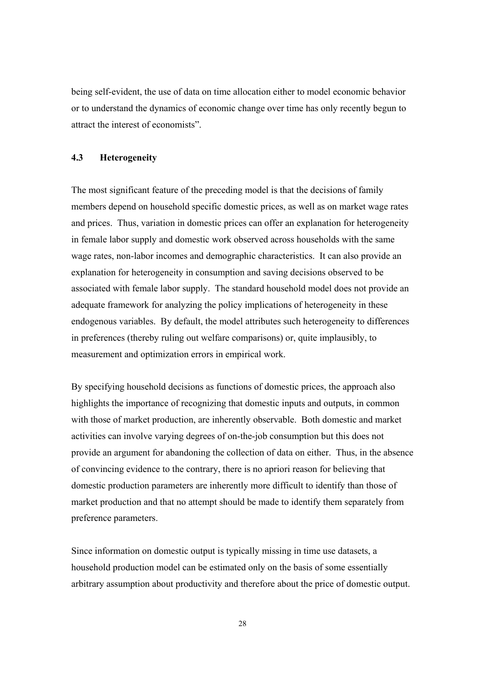being self-evident, the use of data on time allocation either to model economic behavior or to understand the dynamics of economic change over time has only recently begun to attract the interest of economists".

#### **4.3 Heterogeneity**

The most significant feature of the preceding model is that the decisions of family members depend on household specific domestic prices, as well as on market wage rates and prices. Thus, variation in domestic prices can offer an explanation for heterogeneity in female labor supply and domestic work observed across households with the same wage rates, non-labor incomes and demographic characteristics. It can also provide an explanation for heterogeneity in consumption and saving decisions observed to be associated with female labor supply. The standard household model does not provide an adequate framework for analyzing the policy implications of heterogeneity in these endogenous variables. By default, the model attributes such heterogeneity to differences in preferences (thereby ruling out welfare comparisons) or, quite implausibly, to measurement and optimization errors in empirical work.

By specifying household decisions as functions of domestic prices, the approach also highlights the importance of recognizing that domestic inputs and outputs, in common with those of market production, are inherently observable. Both domestic and market activities can involve varying degrees of on-the-job consumption but this does not provide an argument for abandoning the collection of data on either. Thus, in the absence of convincing evidence to the contrary, there is no apriori reason for believing that domestic production parameters are inherently more difficult to identify than those of market production and that no attempt should be made to identify them separately from preference parameters.

Since information on domestic output is typically missing in time use datasets, a household production model can be estimated only on the basis of some essentially arbitrary assumption about productivity and therefore about the price of domestic output.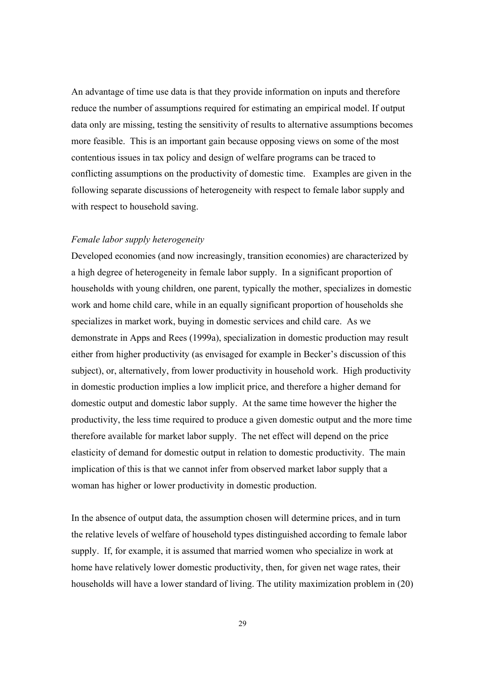An advantage of time use data is that they provide information on inputs and therefore reduce the number of assumptions required for estimating an empirical model. If output data only are missing, testing the sensitivity of results to alternative assumptions becomes more feasible. This is an important gain because opposing views on some of the most contentious issues in tax policy and design of welfare programs can be traced to conflicting assumptions on the productivity of domestic time. Examples are given in the following separate discussions of heterogeneity with respect to female labor supply and with respect to household saving.

#### *Female labor supply heterogeneity*

Developed economies (and now increasingly, transition economies) are characterized by a high degree of heterogeneity in female labor supply. In a significant proportion of households with young children, one parent, typically the mother, specializes in domestic work and home child care, while in an equally significant proportion of households she specializes in market work, buying in domestic services and child care. As we demonstrate in Apps and Rees (1999a), specialization in domestic production may result either from higher productivity (as envisaged for example in Becker's discussion of this subject), or, alternatively, from lower productivity in household work. High productivity in domestic production implies a low implicit price, and therefore a higher demand for domestic output and domestic labor supply. At the same time however the higher the productivity, the less time required to produce a given domestic output and the more time therefore available for market labor supply. The net effect will depend on the price elasticity of demand for domestic output in relation to domestic productivity. The main implication of this is that we cannot infer from observed market labor supply that a woman has higher or lower productivity in domestic production.

In the absence of output data, the assumption chosen will determine prices, and in turn the relative levels of welfare of household types distinguished according to female labor supply. If, for example, it is assumed that married women who specialize in work at home have relatively lower domestic productivity, then, for given net wage rates, their households will have a lower standard of living. The utility maximization problem in (20)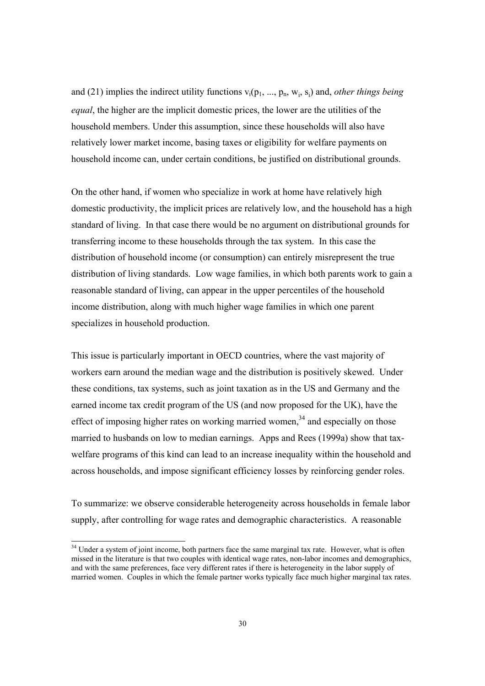and  $(21)$  implies the indirect utility functions  $v_i(p_1, ..., p_n, w_i, s_i)$  and, *other things being equal*, the higher are the implicit domestic prices, the lower are the utilities of the household members. Under this assumption, since these households will also have relatively lower market income, basing taxes or eligibility for welfare payments on household income can, under certain conditions, be justified on distributional grounds.

On the other hand, if women who specialize in work at home have relatively high domestic productivity, the implicit prices are relatively low, and the household has a high standard of living. In that case there would be no argument on distributional grounds for transferring income to these households through the tax system. In this case the distribution of household income (or consumption) can entirely misrepresent the true distribution of living standards. Low wage families, in which both parents work to gain a reasonable standard of living, can appear in the upper percentiles of the household income distribution, along with much higher wage families in which one parent specializes in household production.

This issue is particularly important in OECD countries, where the vast majority of workers earn around the median wage and the distribution is positively skewed. Under these conditions, tax systems, such as joint taxation as in the US and Germany and the earned income tax credit program of the US (and now proposed for the UK), have the effect of imposing higher rates on working married women, $3<sup>4</sup>$  and especially on those married to husbands on low to median earnings. Apps and Rees (1999a) show that taxwelfare programs of this kind can lead to an increase inequality within the household and across households, and impose significant efficiency losses by reinforcing gender roles.

To summarize: we observe considerable heterogeneity across households in female labor supply, after controlling for wage rates and demographic characteristics. A reasonable

 $34$  Under a system of joint income, both partners face the same marginal tax rate. However, what is often missed in the literature is that two couples with identical wage rates, non-labor incomes and demographics, and with the same preferences, face very different rates if there is heterogeneity in the labor supply of married women. Couples in which the female partner works typically face much higher marginal tax rates.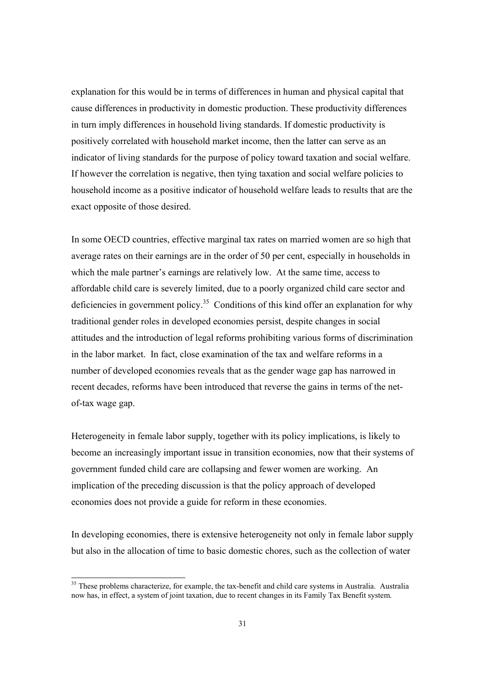explanation for this would be in terms of differences in human and physical capital that cause differences in productivity in domestic production. These productivity differences in turn imply differences in household living standards. If domestic productivity is positively correlated with household market income, then the latter can serve as an indicator of living standards for the purpose of policy toward taxation and social welfare. If however the correlation is negative, then tying taxation and social welfare policies to household income as a positive indicator of household welfare leads to results that are the exact opposite of those desired.

In some OECD countries, effective marginal tax rates on married women are so high that average rates on their earnings are in the order of 50 per cent, especially in households in which the male partner's earnings are relatively low. At the same time, access to affordable child care is severely limited, due to a poorly organized child care sector and deficiencies in government policy.<sup>35</sup> Conditions of this kind offer an explanation for why traditional gender roles in developed economies persist, despite changes in social attitudes and the introduction of legal reforms prohibiting various forms of discrimination in the labor market. In fact, close examination of the tax and welfare reforms in a number of developed economies reveals that as the gender wage gap has narrowed in recent decades, reforms have been introduced that reverse the gains in terms of the netof-tax wage gap.

Heterogeneity in female labor supply, together with its policy implications, is likely to become an increasingly important issue in transition economies, now that their systems of government funded child care are collapsing and fewer women are working. An implication of the preceding discussion is that the policy approach of developed economies does not provide a guide for reform in these economies.

In developing economies, there is extensive heterogeneity not only in female labor supply but also in the allocation of time to basic domestic chores, such as the collection of water

<sup>&</sup>lt;sup>35</sup> These problems characterize, for example, the tax-benefit and child care systems in Australia. Australia now has, in effect, a system of joint taxation, due to recent changes in its Family Tax Benefit system.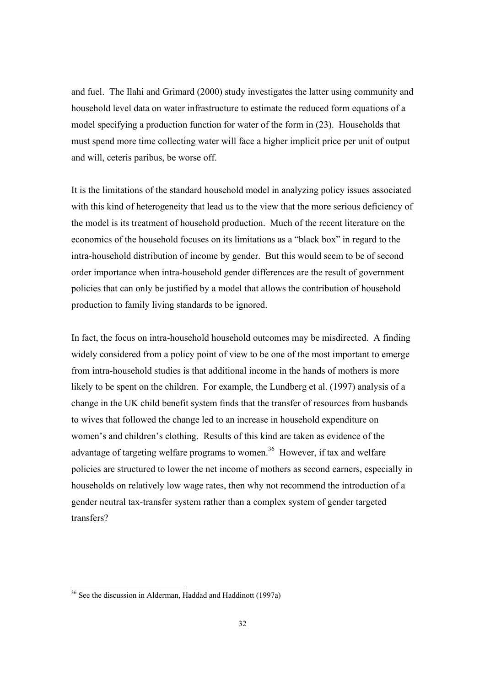and fuel. The Ilahi and Grimard (2000) study investigates the latter using community and household level data on water infrastructure to estimate the reduced form equations of a model specifying a production function for water of the form in (23). Households that must spend more time collecting water will face a higher implicit price per unit of output and will, ceteris paribus, be worse off.

It is the limitations of the standard household model in analyzing policy issues associated with this kind of heterogeneity that lead us to the view that the more serious deficiency of the model is its treatment of household production. Much of the recent literature on the economics of the household focuses on its limitations as a "black box" in regard to the intra-household distribution of income by gender. But this would seem to be of second order importance when intra-household gender differences are the result of government policies that can only be justified by a model that allows the contribution of household production to family living standards to be ignored.

In fact, the focus on intra-household household outcomes may be misdirected. A finding widely considered from a policy point of view to be one of the most important to emerge from intra-household studies is that additional income in the hands of mothers is more likely to be spent on the children. For example, the Lundberg et al. (1997) analysis of a change in the UK child benefit system finds that the transfer of resources from husbands to wives that followed the change led to an increase in household expenditure on women's and children's clothing. Results of this kind are taken as evidence of the advantage of targeting welfare programs to women.<sup>36</sup> However, if tax and welfare policies are structured to lower the net income of mothers as second earners, especially in households on relatively low wage rates, then why not recommend the introduction of a gender neutral tax-transfer system rather than a complex system of gender targeted transfers?

 $36$  See the discussion in Alderman, Haddad and Haddinott (1997a)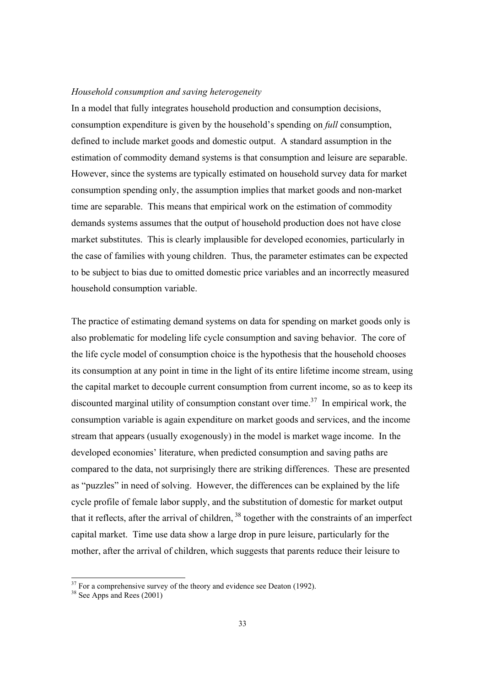#### *Household consumption and saving heterogeneity*

In a model that fully integrates household production and consumption decisions, consumption expenditure is given by the household's spending on *full* consumption, defined to include market goods and domestic output. A standard assumption in the estimation of commodity demand systems is that consumption and leisure are separable. However, since the systems are typically estimated on household survey data for market consumption spending only, the assumption implies that market goods and non-market time are separable. This means that empirical work on the estimation of commodity demands systems assumes that the output of household production does not have close market substitutes. This is clearly implausible for developed economies, particularly in the case of families with young children. Thus, the parameter estimates can be expected to be subject to bias due to omitted domestic price variables and an incorrectly measured household consumption variable.

The practice of estimating demand systems on data for spending on market goods only is also problematic for modeling life cycle consumption and saving behavior. The core of the life cycle model of consumption choice is the hypothesis that the household chooses its consumption at any point in time in the light of its entire lifetime income stream, using the capital market to decouple current consumption from current income, so as to keep its discounted marginal utility of consumption constant over time.<sup>37</sup> In empirical work, the consumption variable is again expenditure on market goods and services, and the income stream that appears (usually exogenously) in the model is market wage income. In the developed economies' literature, when predicted consumption and saving paths are compared to the data, not surprisingly there are striking differences. These are presented as "puzzles" in need of solving. However, the differences can be explained by the life cycle profile of female labor supply, and the substitution of domestic for market output that it reflects, after the arrival of children,<sup>38</sup> together with the constraints of an imperfect capital market. Time use data show a large drop in pure leisure, particularly for the mother, after the arrival of children, which suggests that parents reduce their leisure to

 $37$  For a comprehensive survey of the theory and evidence see Deaton (1992).

<sup>&</sup>lt;sup>38</sup> See Apps and Rees (2001)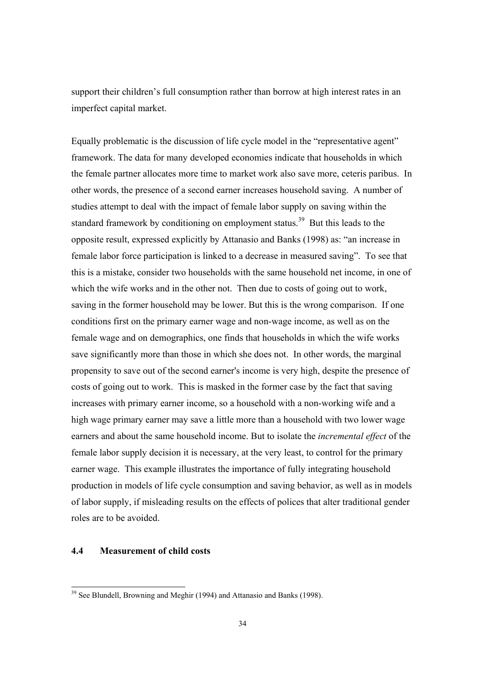support their children's full consumption rather than borrow at high interest rates in an imperfect capital market.

Equally problematic is the discussion of life cycle model in the "representative agent" framework. The data for many developed economies indicate that households in which the female partner allocates more time to market work also save more, ceteris paribus. In other words, the presence of a second earner increases household saving. A number of studies attempt to deal with the impact of female labor supply on saving within the standard framework by conditioning on employment status.<sup>39</sup> But this leads to the opposite result, expressed explicitly by Attanasio and Banks (1998) as: "an increase in female labor force participation is linked to a decrease in measured saving". To see that this is a mistake, consider two households with the same household net income, in one of which the wife works and in the other not. Then due to costs of going out to work, saving in the former household may be lower. But this is the wrong comparison. If one conditions first on the primary earner wage and non-wage income, as well as on the female wage and on demographics, one finds that households in which the wife works save significantly more than those in which she does not. In other words, the marginal propensity to save out of the second earner's income is very high, despite the presence of costs of going out to work. This is masked in the former case by the fact that saving increases with primary earner income, so a household with a non-working wife and a high wage primary earner may save a little more than a household with two lower wage earners and about the same household income. But to isolate the *incremental effect* of the female labor supply decision it is necessary, at the very least, to control for the primary earner wage. This example illustrates the importance of fully integrating household production in models of life cycle consumption and saving behavior, as well as in models of labor supply, if misleading results on the effects of polices that alter traditional gender roles are to be avoided.

#### **4.4 Measurement of child costs**

<sup>&</sup>lt;sup>39</sup> See Blundell, Browning and Meghir (1994) and Attanasio and Banks (1998).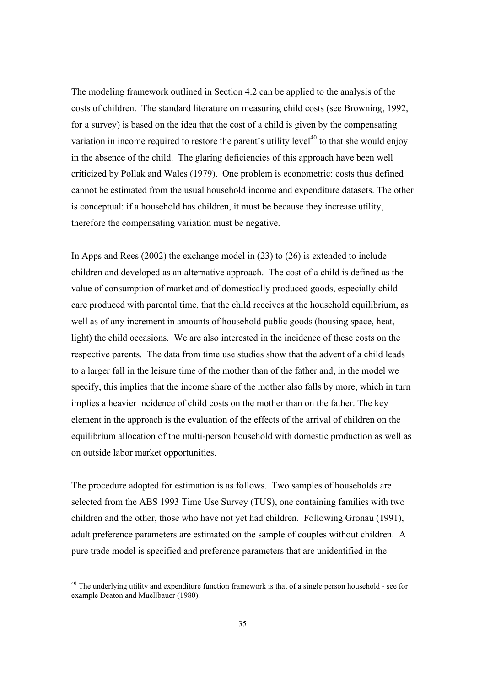The modeling framework outlined in Section 4.2 can be applied to the analysis of the costs of children. The standard literature on measuring child costs (see Browning, 1992, for a survey) is based on the idea that the cost of a child is given by the compensating variation in income required to restore the parent's utility level<sup> $40$ </sup> to that she would enjoy in the absence of the child. The glaring deficiencies of this approach have been well criticized by Pollak and Wales (1979). One problem is econometric: costs thus defined cannot be estimated from the usual household income and expenditure datasets. The other is conceptual: if a household has children, it must be because they increase utility, therefore the compensating variation must be negative.

In Apps and Rees (2002) the exchange model in (23) to (26) is extended to include children and developed as an alternative approach. The cost of a child is defined as the value of consumption of market and of domestically produced goods, especially child care produced with parental time, that the child receives at the household equilibrium, as well as of any increment in amounts of household public goods (housing space, heat, light) the child occasions. We are also interested in the incidence of these costs on the respective parents. The data from time use studies show that the advent of a child leads to a larger fall in the leisure time of the mother than of the father and, in the model we specify, this implies that the income share of the mother also falls by more, which in turn implies a heavier incidence of child costs on the mother than on the father. The key element in the approach is the evaluation of the effects of the arrival of children on the equilibrium allocation of the multi-person household with domestic production as well as on outside labor market opportunities.

The procedure adopted for estimation is as follows. Two samples of households are selected from the ABS 1993 Time Use Survey (TUS), one containing families with two children and the other, those who have not yet had children. Following Gronau (1991), adult preference parameters are estimated on the sample of couples without children. A pure trade model is specified and preference parameters that are unidentified in the

<sup>&</sup>lt;sup>40</sup> The underlying utility and expenditure function framework is that of a single person household - see for example Deaton and Muellbauer (1980).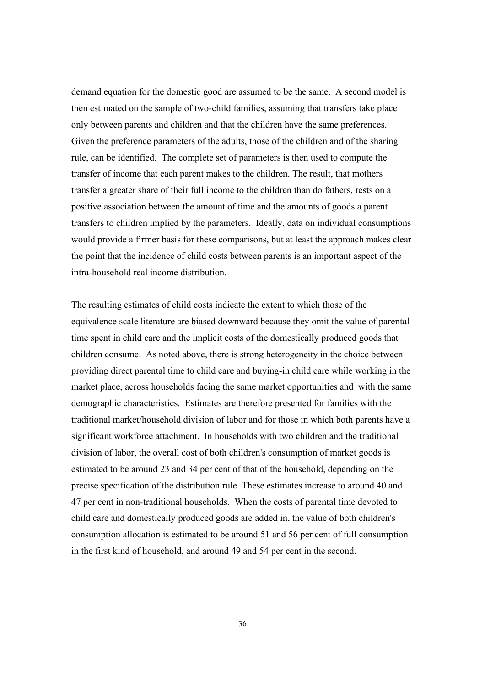demand equation for the domestic good are assumed to be the same. A second model is then estimated on the sample of two-child families, assuming that transfers take place only between parents and children and that the children have the same preferences. Given the preference parameters of the adults, those of the children and of the sharing rule, can be identified. The complete set of parameters is then used to compute the transfer of income that each parent makes to the children. The result, that mothers transfer a greater share of their full income to the children than do fathers, rests on a positive association between the amount of time and the amounts of goods a parent transfers to children implied by the parameters. Ideally, data on individual consumptions would provide a firmer basis for these comparisons, but at least the approach makes clear the point that the incidence of child costs between parents is an important aspect of the intra-household real income distribution.

The resulting estimates of child costs indicate the extent to which those of the equivalence scale literature are biased downward because they omit the value of parental time spent in child care and the implicit costs of the domestically produced goods that children consume. As noted above, there is strong heterogeneity in the choice between providing direct parental time to child care and buying-in child care while working in the market place, across households facing the same market opportunities and with the same demographic characteristics. Estimates are therefore presented for families with the traditional market/household division of labor and for those in which both parents have a significant workforce attachment. In households with two children and the traditional division of labor, the overall cost of both children's consumption of market goods is estimated to be around 23 and 34 per cent of that of the household, depending on the precise specification of the distribution rule. These estimates increase to around 40 and 47 per cent in non-traditional households. When the costs of parental time devoted to child care and domestically produced goods are added in, the value of both children's consumption allocation is estimated to be around 51 and 56 per cent of full consumption in the first kind of household, and around 49 and 54 per cent in the second.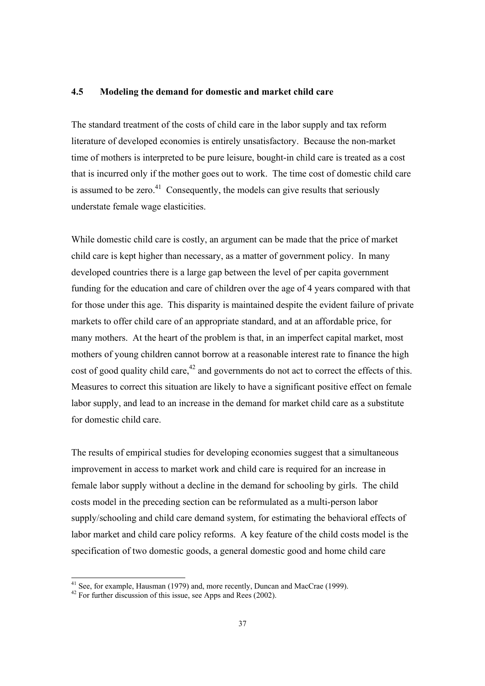#### **4.5 Modeling the demand for domestic and market child care**

The standard treatment of the costs of child care in the labor supply and tax reform literature of developed economies is entirely unsatisfactory. Because the non-market time of mothers is interpreted to be pure leisure, bought-in child care is treated as a cost that is incurred only if the mother goes out to work. The time cost of domestic child care is assumed to be zero.<sup>41</sup> Consequently, the models can give results that seriously understate female wage elasticities.

While domestic child care is costly, an argument can be made that the price of market child care is kept higher than necessary, as a matter of government policy. In many developed countries there is a large gap between the level of per capita government funding for the education and care of children over the age of 4 years compared with that for those under this age. This disparity is maintained despite the evident failure of private markets to offer child care of an appropriate standard, and at an affordable price, for many mothers. At the heart of the problem is that, in an imperfect capital market, most mothers of young children cannot borrow at a reasonable interest rate to finance the high cost of good quality child care.<sup>42</sup> and governments do not act to correct the effects of this. Measures to correct this situation are likely to have a significant positive effect on female labor supply, and lead to an increase in the demand for market child care as a substitute for domestic child care.

The results of empirical studies for developing economies suggest that a simultaneous improvement in access to market work and child care is required for an increase in female labor supply without a decline in the demand for schooling by girls. The child costs model in the preceding section can be reformulated as a multi-person labor supply/schooling and child care demand system, for estimating the behavioral effects of labor market and child care policy reforms. A key feature of the child costs model is the specification of two domestic goods, a general domestic good and home child care

<sup>&</sup>lt;sup>41</sup> See, for example, Hausman (1979) and, more recently, Duncan and MacCrae (1999).

 $42$  For further discussion of this issue, see Apps and Rees (2002).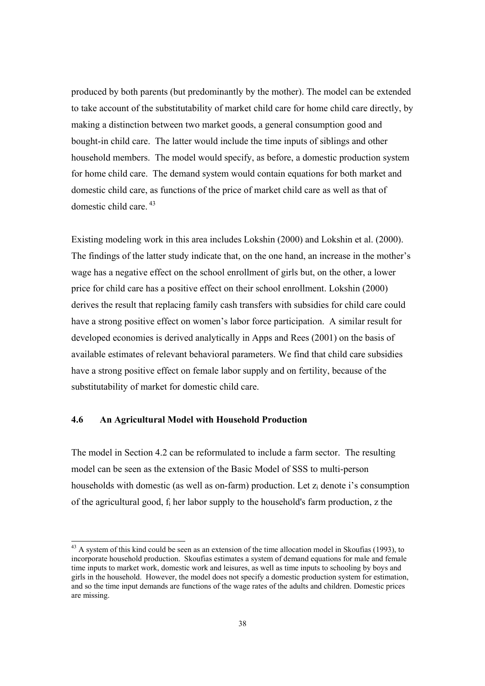produced by both parents (but predominantly by the mother). The model can be extended to take account of the substitutability of market child care for home child care directly, by making a distinction between two market goods, a general consumption good and bought-in child care. The latter would include the time inputs of siblings and other household members. The model would specify, as before, a domestic production system for home child care. The demand system would contain equations for both market and domestic child care, as functions of the price of market child care as well as that of domestic child care. 43

Existing modeling work in this area includes Lokshin (2000) and Lokshin et al. (2000). The findings of the latter study indicate that, on the one hand, an increase in the mother's wage has a negative effect on the school enrollment of girls but, on the other, a lower price for child care has a positive effect on their school enrollment. Lokshin (2000) derives the result that replacing family cash transfers with subsidies for child care could have a strong positive effect on women's labor force participation. A similar result for developed economies is derived analytically in Apps and Rees (2001) on the basis of available estimates of relevant behavioral parameters. We find that child care subsidies have a strong positive effect on female labor supply and on fertility, because of the substitutability of market for domestic child care.

#### **4.6 An Agricultural Model with Household Production**

 $\overline{a}$ 

The model in Section 4.2 can be reformulated to include a farm sector. The resulting model can be seen as the extension of the Basic Model of SSS to multi-person households with domestic (as well as on-farm) production. Let  $z_i$  denote i's consumption of the agricultural good,  $f_i$  her labor supply to the household's farm production, z the

 $43$  A system of this kind could be seen as an extension of the time allocation model in Skoufias (1993), to incorporate household production. Skoufias estimates a system of demand equations for male and female time inputs to market work, domestic work and leisures, as well as time inputs to schooling by boys and girls in the household. However, the model does not specify a domestic production system for estimation, and so the time input demands are functions of the wage rates of the adults and children. Domestic prices are missing.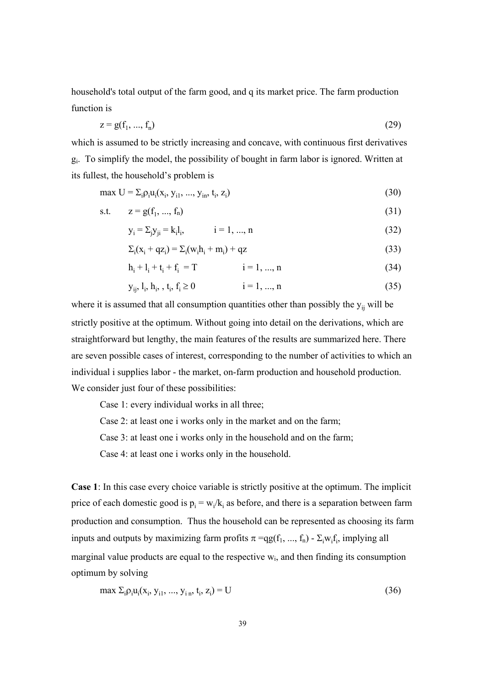household's total output of the farm good, and q its market price. The farm production function is

$$
z = g(f_1, ..., f_n) \tag{29}
$$

which is assumed to be strictly increasing and concave, with continuous first derivatives gi. To simplify the model, the possibility of bought in farm labor is ignored. Written at its fullest, the household's problem is

$$
\max U = \sum_{i} \rho_i u_i(x_i, y_{i1}, ..., y_{in}, t_i, z_i)
$$
\n(30)

s.t. 
$$
z = g(f_1, ..., f_n)
$$
 (31)

$$
y_i = \sum_j y_{ji} = k_i l_i, \qquad i = 1, ..., n
$$
 (32)

$$
\Sigma_{i}(x_{i} + qz_{i}) = \Sigma_{i}(w_{i}h_{i} + m_{i}) + qz
$$
\n(33)

$$
h_i + l_i + t_i + f_i = T \qquad i = 1, ..., n \qquad (34)
$$

$$
y_{ij}, l_i, h_i, t_i, f_i \ge 0 \qquad i = 1, ..., n \qquad (35)
$$

where it is assumed that all consumption quantities other than possibly the  $y_{ij}$  will be strictly positive at the optimum. Without going into detail on the derivations, which are straightforward but lengthy, the main features of the results are summarized here. There are seven possible cases of interest, corresponding to the number of activities to which an individual i supplies labor - the market, on-farm production and household production. We consider just four of these possibilities:

Case 1: every individual works in all three;

Case 2: at least one i works only in the market and on the farm;

Case 3: at least one i works only in the household and on the farm;

Case 4: at least one i works only in the household.

**Case 1**: In this case every choice variable is strictly positive at the optimum. The implicit price of each domestic good is  $p_i = w_i / k_i$  as before, and there is a separation between farm production and consumption. Thus the household can be represented as choosing its farm inputs and outputs by maximizing farm profits  $\pi = qg(f_1, ..., f_n) - \sum_i w_i f_i$ , implying all marginal value products are equal to the respective  $w_i$ , and then finding its consumption optimum by solving

$$
\max \sum_{i} p_{i} u_{i} (x_{i}, y_{i1}, ..., y_{i n}, t_{i}, z_{i}) = U
$$
\n(36)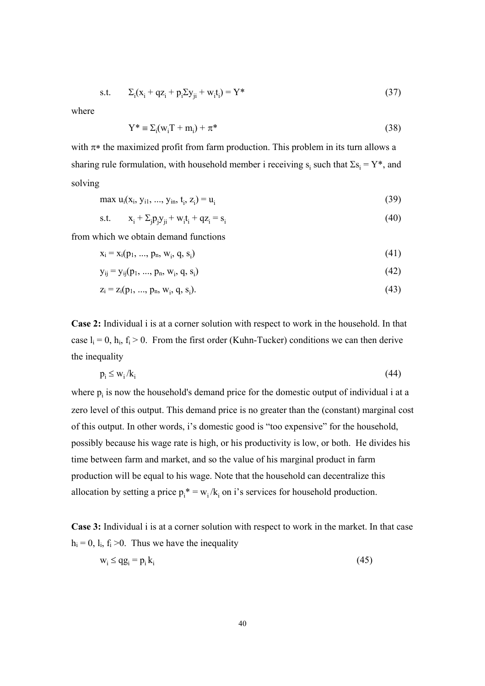s.t. 
$$
\sum_{i}(x_i + qz_i + p_i \sum y_{ji} + w_i t_i) = Y^*
$$
 (37)

where

$$
Y^* = \Sigma_i (w_i T + m_i) + \pi^*
$$
\n(38)

with  $\pi^*$  the maximized profit from farm production. This problem in its turn allows a sharing rule formulation, with household member i receiving  $s_i$  such that  $\Sigma s_i = Y^*$ , and solving

$$
\max u_i(x_i, y_{i1}, ..., y_{in}, t_i, z_i) = u_i
$$
\n(39)

s.t. 
$$
x_i + \sum_j p_j y_{ji} + w_i t_i + q z_i = s_i
$$
 (40)

from which we obtain demand functions

$$
x_i = x_i(p_1, ..., p_n, w_i, q, s_i)
$$
\n(41)

$$
y_{ij} = y_{ij}(p_1, ..., p_n, w_i, q, s_i)
$$
 (42)

$$
z_i = z_i(p_1, ..., p_n, w_i, q, s_i). \tag{43}
$$

**Case 2:** Individual i is at a corner solution with respect to work in the household. In that case  $l_i = 0$ ,  $h_i$ ,  $f_i > 0$ . From the first order (Kuhn-Tucker) conditions we can then derive the inequality

$$
p_i \le w_i / k_i \tag{44}
$$

where  $p_i$  is now the household's demand price for the domestic output of individual i at a zero level of this output. This demand price is no greater than the (constant) marginal cost of this output. In other words, i's domestic good is "too expensive" for the household, possibly because his wage rate is high, or his productivity is low, or both. He divides his time between farm and market, and so the value of his marginal product in farm production will be equal to his wage. Note that the household can decentralize this allocation by setting a price  $p_i^* = w_i / k_i$  on i's services for household production.

**Case 3:** Individual i is at a corner solution with respect to work in the market. In that case  $h_i = 0$ ,  $l_i$ ,  $f_i > 0$ . Thus we have the inequality

$$
w_i \le qg_i = p_i k_i \tag{45}
$$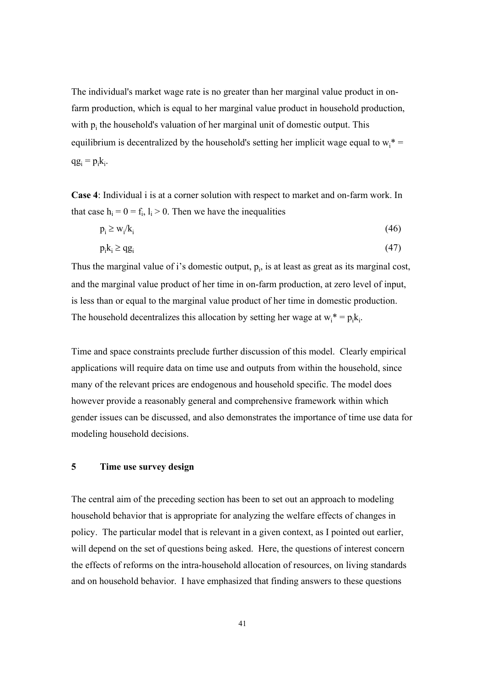The individual's market wage rate is no greater than her marginal value product in onfarm production, which is equal to her marginal value product in household production, with  $p_i$  the household's valuation of her marginal unit of domestic output. This equilibrium is decentralized by the household's setting her implicit wage equal to  $w_i^*$  =  $qg_i = p_i k_i$ .

**Case 4**: Individual i is at a corner solution with respect to market and on-farm work. In that case  $h_i = 0 = f_i$ ,  $l_i > 0$ . Then we have the inequalities

$$
p_i \geq w_i / k_i \tag{46}
$$

$$
p_i k_i \geq q g_i \tag{47}
$$

Thus the marginal value of i's domestic output,  $p_i$ , is at least as great as its marginal cost, and the marginal value product of her time in on-farm production, at zero level of input, is less than or equal to the marginal value product of her time in domestic production. The household decentralizes this allocation by setting her wage at  $w_i^* = p_i k_i$ .

Time and space constraints preclude further discussion of this model. Clearly empirical applications will require data on time use and outputs from within the household, since many of the relevant prices are endogenous and household specific. The model does however provide a reasonably general and comprehensive framework within which gender issues can be discussed, and also demonstrates the importance of time use data for modeling household decisions.

#### **5 Time use survey design**

The central aim of the preceding section has been to set out an approach to modeling household behavior that is appropriate for analyzing the welfare effects of changes in policy. The particular model that is relevant in a given context, as I pointed out earlier, will depend on the set of questions being asked. Here, the questions of interest concern the effects of reforms on the intra-household allocation of resources, on living standards and on household behavior. I have emphasized that finding answers to these questions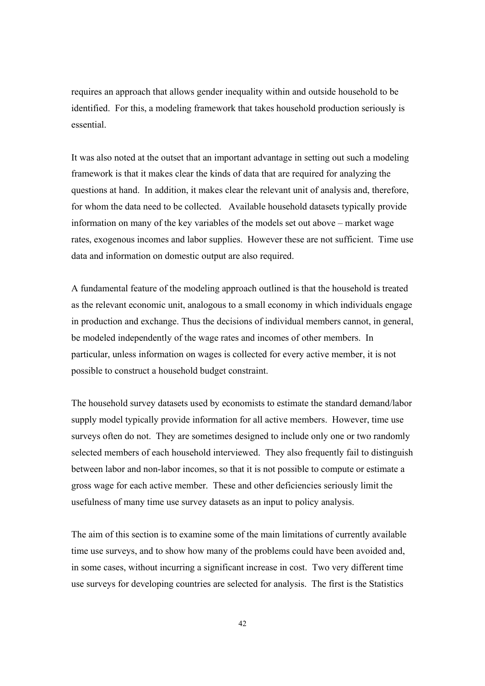requires an approach that allows gender inequality within and outside household to be identified. For this, a modeling framework that takes household production seriously is essential.

It was also noted at the outset that an important advantage in setting out such a modeling framework is that it makes clear the kinds of data that are required for analyzing the questions at hand. In addition, it makes clear the relevant unit of analysis and, therefore, for whom the data need to be collected. Available household datasets typically provide information on many of the key variables of the models set out above – market wage rates, exogenous incomes and labor supplies. However these are not sufficient. Time use data and information on domestic output are also required.

A fundamental feature of the modeling approach outlined is that the household is treated as the relevant economic unit, analogous to a small economy in which individuals engage in production and exchange. Thus the decisions of individual members cannot, in general, be modeled independently of the wage rates and incomes of other members. In particular, unless information on wages is collected for every active member, it is not possible to construct a household budget constraint.

The household survey datasets used by economists to estimate the standard demand/labor supply model typically provide information for all active members. However, time use surveys often do not. They are sometimes designed to include only one or two randomly selected members of each household interviewed. They also frequently fail to distinguish between labor and non-labor incomes, so that it is not possible to compute or estimate a gross wage for each active member. These and other deficiencies seriously limit the usefulness of many time use survey datasets as an input to policy analysis.

The aim of this section is to examine some of the main limitations of currently available time use surveys, and to show how many of the problems could have been avoided and, in some cases, without incurring a significant increase in cost. Two very different time use surveys for developing countries are selected for analysis. The first is the Statistics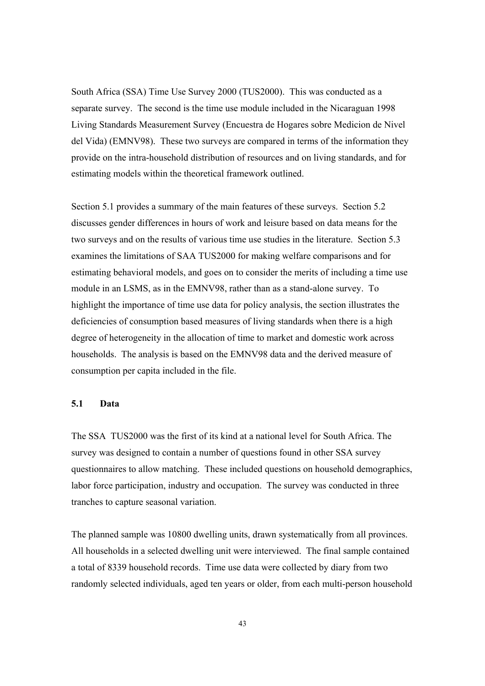South Africa (SSA) Time Use Survey 2000 (TUS2000). This was conducted as a separate survey. The second is the time use module included in the Nicaraguan 1998 Living Standards Measurement Survey (Encuestra de Hogares sobre Medicion de Nivel del Vida) (EMNV98). These two surveys are compared in terms of the information they provide on the intra-household distribution of resources and on living standards, and for estimating models within the theoretical framework outlined.

Section 5.1 provides a summary of the main features of these surveys. Section 5.2 discusses gender differences in hours of work and leisure based on data means for the two surveys and on the results of various time use studies in the literature. Section 5.3 examines the limitations of SAA TUS2000 for making welfare comparisons and for estimating behavioral models, and goes on to consider the merits of including a time use module in an LSMS, as in the EMNV98, rather than as a stand-alone survey. To highlight the importance of time use data for policy analysis, the section illustrates the deficiencies of consumption based measures of living standards when there is a high degree of heterogeneity in the allocation of time to market and domestic work across households. The analysis is based on the EMNV98 data and the derived measure of consumption per capita included in the file.

#### **5.1 Data**

The SSA TUS2000 was the first of its kind at a national level for South Africa. The survey was designed to contain a number of questions found in other SSA survey questionnaires to allow matching. These included questions on household demographics, labor force participation, industry and occupation. The survey was conducted in three tranches to capture seasonal variation.

The planned sample was 10800 dwelling units, drawn systematically from all provinces. All households in a selected dwelling unit were interviewed. The final sample contained a total of 8339 household records. Time use data were collected by diary from two randomly selected individuals, aged ten years or older, from each multi-person household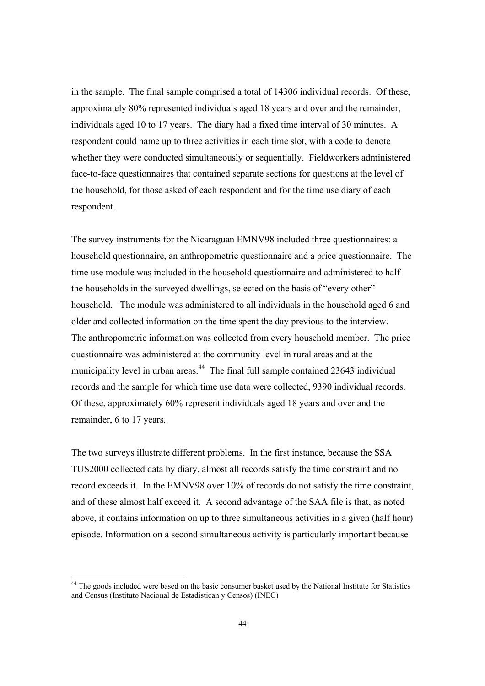in the sample. The final sample comprised a total of 14306 individual records. Of these, approximately 80% represented individuals aged 18 years and over and the remainder, individuals aged 10 to 17 years. The diary had a fixed time interval of 30 minutes. A respondent could name up to three activities in each time slot, with a code to denote whether they were conducted simultaneously or sequentially. Fieldworkers administered face-to-face questionnaires that contained separate sections for questions at the level of the household, for those asked of each respondent and for the time use diary of each respondent.

The survey instruments for the Nicaraguan EMNV98 included three questionnaires: a household questionnaire, an anthropometric questionnaire and a price questionnaire. The time use module was included in the household questionnaire and administered to half the households in the surveyed dwellings, selected on the basis of "every other" household. The module was administered to all individuals in the household aged 6 and older and collected information on the time spent the day previous to the interview. The anthropometric information was collected from every household member. The price questionnaire was administered at the community level in rural areas and at the municipality level in urban areas.<sup>44</sup> The final full sample contained 23643 individual records and the sample for which time use data were collected, 9390 individual records. Of these, approximately 60% represent individuals aged 18 years and over and the remainder, 6 to 17 years.

The two surveys illustrate different problems. In the first instance, because the SSA TUS2000 collected data by diary, almost all records satisfy the time constraint and no record exceeds it. In the EMNV98 over 10% of records do not satisfy the time constraint, and of these almost half exceed it. A second advantage of the SAA file is that, as noted above, it contains information on up to three simultaneous activities in a given (half hour) episode. Information on a second simultaneous activity is particularly important because

<sup>&</sup>lt;sup>44</sup> The goods included were based on the basic consumer basket used by the National Institute for Statistics and Census (Instituto Nacional de Estadistican y Censos) (INEC)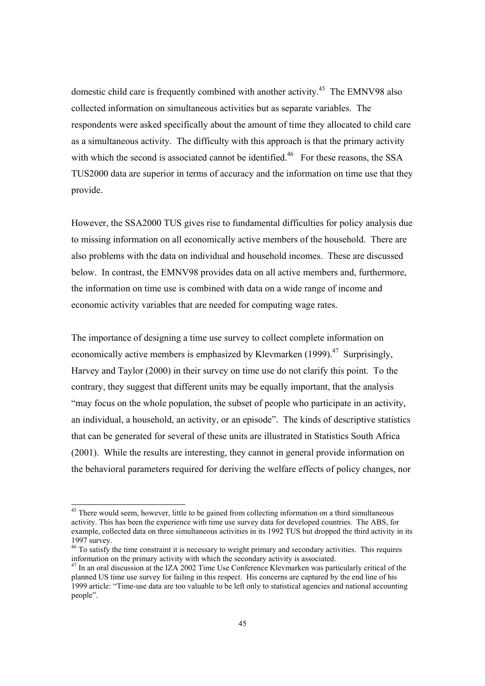domestic child care is frequently combined with another activity.45 The EMNV98 also collected information on simultaneous activities but as separate variables. The respondents were asked specifically about the amount of time they allocated to child care as a simultaneous activity. The difficulty with this approach is that the primary activity with which the second is associated cannot be identified.<sup>46</sup> For these reasons, the SSA TUS2000 data are superior in terms of accuracy and the information on time use that they provide.

However, the SSA2000 TUS gives rise to fundamental difficulties for policy analysis due to missing information on all economically active members of the household. There are also problems with the data on individual and household incomes. These are discussed below. In contrast, the EMNV98 provides data on all active members and, furthermore, the information on time use is combined with data on a wide range of income and economic activity variables that are needed for computing wage rates.

The importance of designing a time use survey to collect complete information on economically active members is emphasized by Klevmarken  $(1999)$ <sup>47</sup> Surprisingly. Harvey and Taylor (2000) in their survey on time use do not clarify this point. To the contrary, they suggest that different units may be equally important, that the analysis "may focus on the whole population, the subset of people who participate in an activity, an individual, a household, an activity, or an episode". The kinds of descriptive statistics that can be generated for several of these units are illustrated in Statistics South Africa (2001). While the results are interesting, they cannot in general provide information on the behavioral parameters required for deriving the welfare effects of policy changes, nor

 $45$  There would seem, however, little to be gained from collecting information on a third simultaneous activity. This has been the experience with time use survey data for developed countries. The ABS, for example, collected data on three simultaneous activities in its 1992 TUS but dropped the third activity in its 1997 survey.

<sup>&</sup>lt;sup>46</sup> To satisfy the time constraint it is necessary to weight primary and secondary activities. This requires information on the primary activity with which the secondary activity is associated.

<sup>&</sup>lt;sup>47</sup> In an oral discussion at the IZA 2002 Time Use Conference Klevmarken was particularly critical of the planned US time use survey for failing in this respect. His concerns are captured by the end line of his 1999 article: "Time-use data are too valuable to be left only to statistical agencies and national accounting people".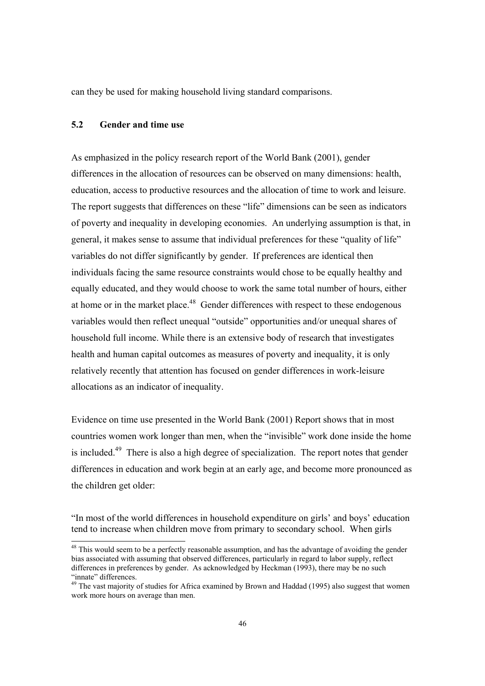can they be used for making household living standard comparisons.

#### **5.2 Gender and time use**

 $\overline{a}$ 

As emphasized in the policy research report of the World Bank (2001), gender differences in the allocation of resources can be observed on many dimensions: health, education, access to productive resources and the allocation of time to work and leisure. The report suggests that differences on these "life" dimensions can be seen as indicators of poverty and inequality in developing economies. An underlying assumption is that, in general, it makes sense to assume that individual preferences for these "quality of life" variables do not differ significantly by gender. If preferences are identical then individuals facing the same resource constraints would chose to be equally healthy and equally educated, and they would choose to work the same total number of hours, either at home or in the market place.<sup>48</sup> Gender differences with respect to these endogenous variables would then reflect unequal "outside" opportunities and/or unequal shares of household full income. While there is an extensive body of research that investigates health and human capital outcomes as measures of poverty and inequality, it is only relatively recently that attention has focused on gender differences in work-leisure allocations as an indicator of inequality.

Evidence on time use presented in the World Bank (2001) Report shows that in most countries women work longer than men, when the "invisible" work done inside the home is included.<sup>49</sup> There is also a high degree of specialization. The report notes that gender differences in education and work begin at an early age, and become more pronounced as the children get older:

"In most of the world differences in household expenditure on girls' and boys' education tend to increase when children move from primary to secondary school. When girls

 $48$  This would seem to be a perfectly reasonable assumption, and has the advantage of avoiding the gender bias associated with assuming that observed differences, particularly in regard to labor supply, reflect differences in preferences by gender. As acknowledged by Heckman (1993), there may be no such "innate" differences.

<sup>&</sup>lt;sup>49</sup> The vast majority of studies for Africa examined by Brown and Haddad (1995) also suggest that women work more hours on average than men.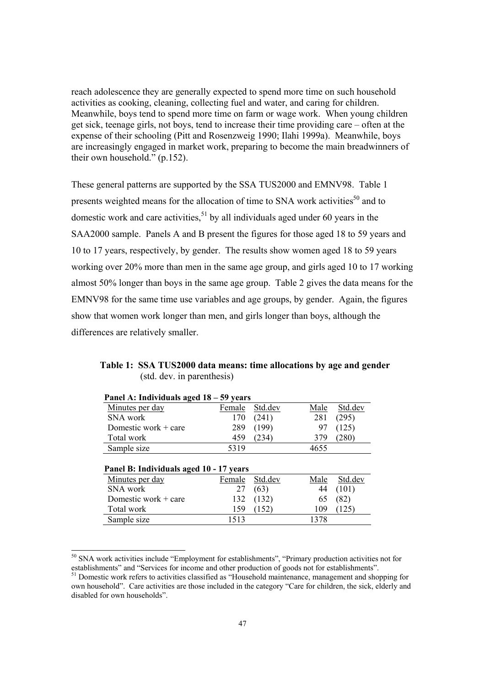reach adolescence they are generally expected to spend more time on such household activities as cooking, cleaning, collecting fuel and water, and caring for children. Meanwhile, boys tend to spend more time on farm or wage work. When young children get sick, teenage girls, not boys, tend to increase their time providing care – often at the expense of their schooling (Pitt and Rosenzweig 1990; Ilahi 1999a). Meanwhile, boys are increasingly engaged in market work, preparing to become the main breadwinners of their own household." (p.152).

These general patterns are supported by the SSA TUS2000 and EMNV98. Table 1 presents weighted means for the allocation of time to SNA work activities<sup>50</sup> and to domestic work and care activities,  $51$  by all individuals aged under 60 years in the SAA2000 sample. Panels A and B present the figures for those aged 18 to 59 years and 10 to 17 years, respectively, by gender. The results show women aged 18 to 59 years working over 20% more than men in the same age group, and girls aged 10 to 17 working almost 50% longer than boys in the same age group. Table 2 gives the data means for the EMNV98 for the same time use variables and age groups, by gender. Again, the figures show that women work longer than men, and girls longer than boys, although the differences are relatively smaller.

|  | Table 1: SSA TUS2000 data means: time allocations by age and gender |
|--|---------------------------------------------------------------------|
|  | (std. dev. in parenthesis)                                          |

| $r$ and A; mulviduals aged $10 - 59$ years |        |         |      |         |
|--------------------------------------------|--------|---------|------|---------|
| Minutes per day                            | Female | Std.dev | Male | Std.dev |
| SNA work                                   | 170    | (241)   | 281  | (295)   |
| Domestic work + care                       | 289    | (199)   | 97   | (125)   |
| Total work                                 | 459    | (234)   | 379  | (280)   |
| Sample size                                | 5319   |         | 4655 |         |
| Panel B: Individuals aged 10 - 17 years    |        |         |      |         |
| Minutes per day                            | Female | Std.dev | Male | Std.dev |
| SNA work                                   | 27     | (63)    | 44   | (101)   |
| Domestic work $+$ care                     | 132    | (132)   | 65   | (82)    |
| Total work                                 | 159    | (152)   | 109  | (125)   |
| Sample size                                | 1513   |         | 1378 |         |

|  | Panel A: Individuals aged $18 - 59$ years |  |  |
|--|-------------------------------------------|--|--|
|--|-------------------------------------------|--|--|

<sup>&</sup>lt;sup>50</sup> SNA work activities include "Employment for establishments", "Primary production activities not for establishments" and "Services for income and other production of goods not for establishments".

<sup>&</sup>lt;sup>51</sup> Domestic work refers to activities classified as "Household maintenance, management and shopping for own household". Care activities are those included in the category "Care for children, the sick, elderly and disabled for own households".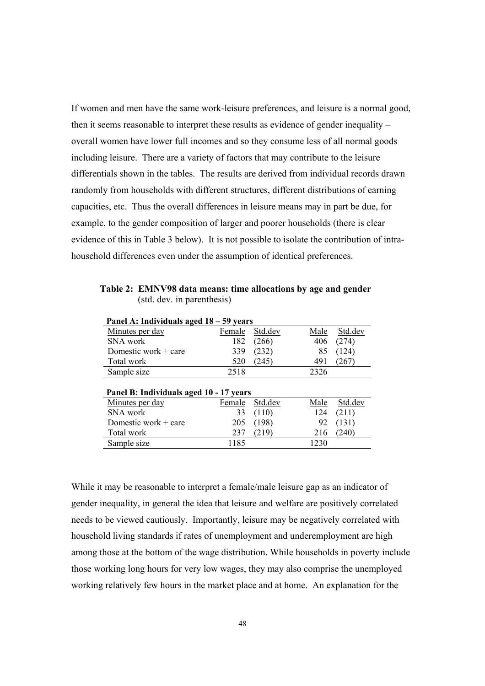If women and men have the same work-leisure preferences, and leisure is a normal good, then it seems reasonable to interpret these results as evidence of gender inequality – overall women have lower full incomes and so they consume less of all normal goods including leisure. There are a variety of factors that may contribute to the leisure differentials shown in the tables. The results are derived from individual records drawn randomly from households with different structures, different distributions of earning capacities, etc. Thus the overall differences in leisure means may in part be due, for example, to the gender composition of larger and poorer households (there is clear evidence of this in Table 3 below). It is not possible to isolate the contribution of intrahousehold differences even under the assumption of identical preferences.

| Table 2: EMNV98 data means: time allocations by age and gender |
|----------------------------------------------------------------|
| (std. dev. in parenthesis)                                     |

|                                                       | Panel A: Individuals aged $18 - 59$ years |         |      |         |
|-------------------------------------------------------|-------------------------------------------|---------|------|---------|
| Minutes per day                                       | Female                                    | Std.dev | Male | Std.dev |
| SNA work                                              | 182                                       | (266)   | 406  | (274)   |
| Domestic work + care                                  | 339                                       | (232)   | 85   | (124)   |
| Total work                                            | 520                                       | (245)   | 491  | (267)   |
| Sample size                                           | 2518                                      |         | 2326 |         |
|                                                       |                                           |         |      |         |
|                                                       |                                           |         |      |         |
| Minutes per day                                       | Female                                    | Std.dev | Male | Std.dev |
| SNA work                                              | 33                                        | (110)   | 124  | (211)   |
| Domestic work $+$ care                                | 205                                       | (198)   | 92   | (131)   |
| Panel B: Individuals aged 10 - 17 years<br>Total work | 237                                       | (219)   | 216  | (240)   |

While it may be reasonable to interpret a female/male leisure gap as an indicator of gender inequality, in general the idea that leisure and welfare are positively correlated needs to be viewed cautiously. Importantly, leisure may be negatively correlated with household living standards if rates of unemployment and underemployment are high among those at the bottom of the wage distribution. While households in poverty include those working long hours for very low wages, they may also comprise the unemployed working relatively few hours in the market place and at home. An explanation for the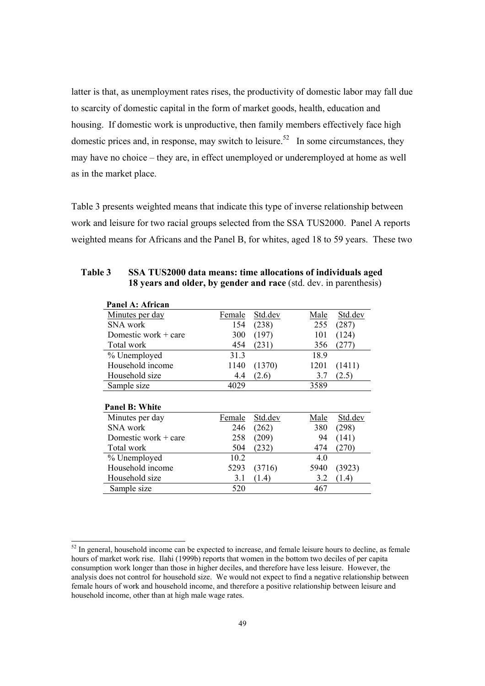latter is that, as unemployment rates rises, the productivity of domestic labor may fall due to scarcity of domestic capital in the form of market goods, health, education and housing. If domestic work is unproductive, then family members effectively face high domestic prices and, in response, may switch to leisure.<sup>52</sup> In some circumstances, they may have no choice – they are, in effect unemployed or underemployed at home as well as in the market place.

Table 3 presents weighted means that indicate this type of inverse relationship between work and leisure for two racial groups selected from the SSA TUS2000. Panel A reports weighted means for Africans and the Panel B, for whites, aged 18 to 59 years. These two

| <b>Table 3</b> | SSA TUS2000 data means: time allocations of individuals aged      |
|----------------|-------------------------------------------------------------------|
|                | 18 years and older, by gender and race (std. dev. in parenthesis) |

| <u>Minutes per day</u>      | Female        | Std.dev        | Male        | Std.dev                            |
|-----------------------------|---------------|----------------|-------------|------------------------------------|
| SNA work                    | 154           | (238)          | 255         | (287)                              |
| Domestic work $+$ care      | 300           | (197)          | 101         | (124)                              |
| Total work                  | 454           | (231)          | 356         | (277)                              |
| % Unemployed                | 31.3          |                | 18.9        |                                    |
| Household income            | 1140          | (1370)         | 1201        | (1411)                             |
| Household size              | 4.4           | (2.6)          | 3.7         | (2.5)                              |
|                             |               |                |             |                                    |
| Sample size                 | 4029          |                | 3589        |                                    |
| <b>Panel B: White</b>       |               |                |             |                                    |
| Minutes per day<br>SNA work | <u>Female</u> | Std.dev        | <b>Male</b> |                                    |
| Domestic work + care        | 246<br>258    | (262)<br>(209) | 380<br>94   |                                    |
| Total work                  | 504           | (232)          | 474         | Std.dev<br>(298)<br>(141)<br>(270) |
| % Unemployed                | 10.2          |                | 4.0         |                                    |
| Household income            | 5293          | (3716)         | 5940        | (3923)                             |
| Household size              | 3.1           | (1.4)          | 3.2         | (1.4)                              |

 $52$  In general, household income can be expected to increase, and female leisure hours to decline, as female hours of market work rise. Ilahi (1999b) reports that women in the bottom two deciles of per capita consumption work longer than those in higher deciles, and therefore have less leisure. However, the analysis does not control for household size. We would not expect to find a negative relationship between female hours of work and household income, and therefore a positive relationship between leisure and household income, other than at high male wage rates.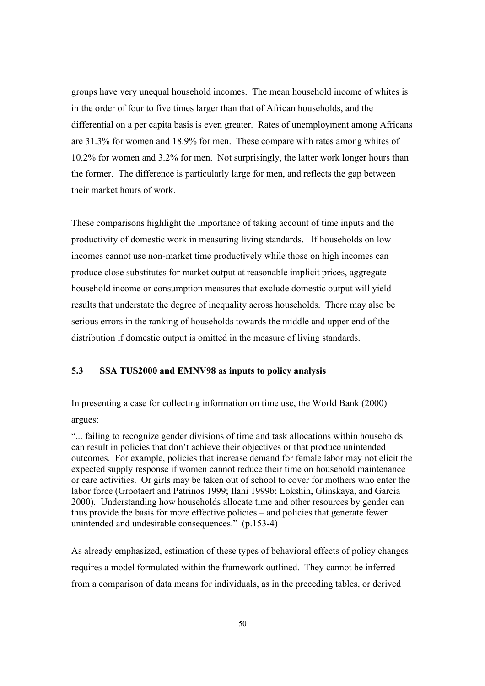groups have very unequal household incomes. The mean household income of whites is in the order of four to five times larger than that of African households, and the differential on a per capita basis is even greater. Rates of unemployment among Africans are 31.3% for women and 18.9% for men. These compare with rates among whites of 10.2% for women and 3.2% for men. Not surprisingly, the latter work longer hours than the former. The difference is particularly large for men, and reflects the gap between their market hours of work.

These comparisons highlight the importance of taking account of time inputs and the productivity of domestic work in measuring living standards. If households on low incomes cannot use non-market time productively while those on high incomes can produce close substitutes for market output at reasonable implicit prices, aggregate household income or consumption measures that exclude domestic output will yield results that understate the degree of inequality across households. There may also be serious errors in the ranking of households towards the middle and upper end of the distribution if domestic output is omitted in the measure of living standards.

#### **5.3 SSA TUS2000 and EMNV98 as inputs to policy analysis**

In presenting a case for collecting information on time use, the World Bank (2000) argues:

"... failing to recognize gender divisions of time and task allocations within households can result in policies that don't achieve their objectives or that produce unintended outcomes. For example, policies that increase demand for female labor may not elicit the expected supply response if women cannot reduce their time on household maintenance or care activities. Or girls may be taken out of school to cover for mothers who enter the labor force (Grootaert and Patrinos 1999; Ilahi 1999b; Lokshin, Glinskaya, and Garcia 2000). Understanding how households allocate time and other resources by gender can thus provide the basis for more effective policies – and policies that generate fewer unintended and undesirable consequences." (p.153-4)

As already emphasized, estimation of these types of behavioral effects of policy changes requires a model formulated within the framework outlined. They cannot be inferred from a comparison of data means for individuals, as in the preceding tables, or derived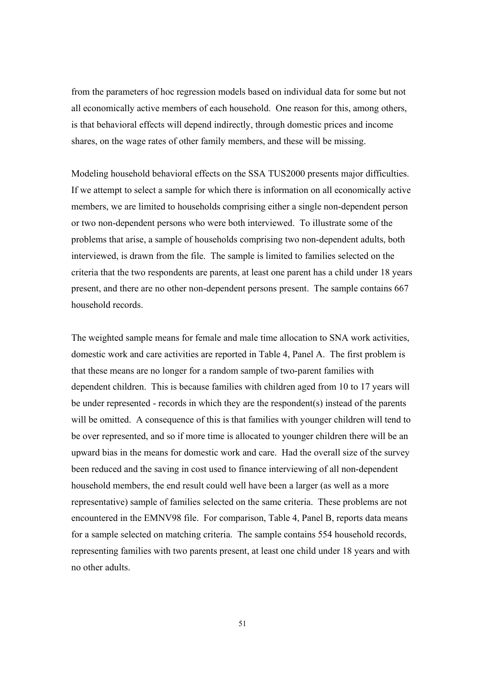from the parameters of hoc regression models based on individual data for some but not all economically active members of each household. One reason for this, among others, is that behavioral effects will depend indirectly, through domestic prices and income shares, on the wage rates of other family members, and these will be missing.

Modeling household behavioral effects on the SSA TUS2000 presents major difficulties. If we attempt to select a sample for which there is information on all economically active members, we are limited to households comprising either a single non-dependent person or two non-dependent persons who were both interviewed. To illustrate some of the problems that arise, a sample of households comprising two non-dependent adults, both interviewed, is drawn from the file. The sample is limited to families selected on the criteria that the two respondents are parents, at least one parent has a child under 18 years present, and there are no other non-dependent persons present. The sample contains 667 household records.

The weighted sample means for female and male time allocation to SNA work activities, domestic work and care activities are reported in Table 4, Panel A. The first problem is that these means are no longer for a random sample of two-parent families with dependent children. This is because families with children aged from 10 to 17 years will be under represented - records in which they are the respondent(s) instead of the parents will be omitted. A consequence of this is that families with younger children will tend to be over represented, and so if more time is allocated to younger children there will be an upward bias in the means for domestic work and care. Had the overall size of the survey been reduced and the saving in cost used to finance interviewing of all non-dependent household members, the end result could well have been a larger (as well as a more representative) sample of families selected on the same criteria. These problems are not encountered in the EMNV98 file. For comparison, Table 4, Panel B, reports data means for a sample selected on matching criteria. The sample contains 554 household records, representing families with two parents present, at least one child under 18 years and with no other adults.

51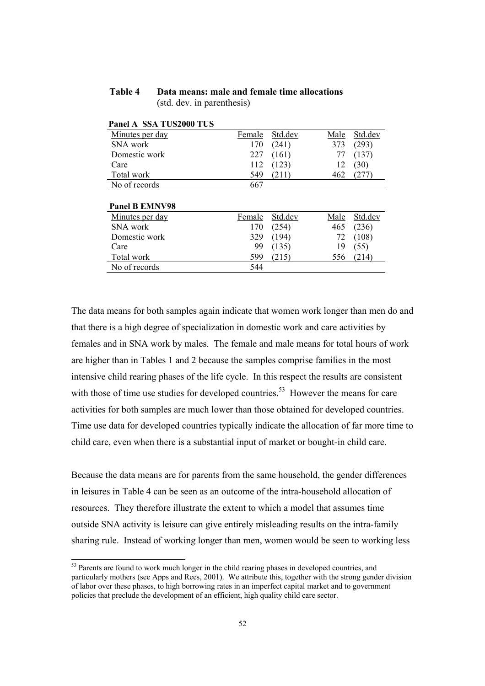| Minutes per day           | Female     | Std.dev        | Male      |
|---------------------------|------------|----------------|-----------|
| SNA work                  | 170        | (241)          | 373       |
| Domestic work             | 227        | (161)          | 77        |
| Care                      | 112        | (123)          | 12        |
| Total work                | 549        | (211)          | 462       |
| No of records             | 667        |                |           |
|                           |            |                |           |
| <b>Panel B EMNV98</b>     |            |                |           |
| Minutes per day           | Female     | Std.dev        | Male      |
| SNA work<br>Domestic work | 170<br>329 | (254)<br>(194) | 465<br>72 |
| Care                      | 99         | (135)          | 19        |
| Total work                | 599        | (215)          | 556       |

#### **Table 4 Data means: male and female time allocations**  (std. dev. in parenthesis)

The data means for both samples again indicate that women work longer than men do and that there is a high degree of specialization in domestic work and care activities by females and in SNA work by males. The female and male means for total hours of work are higher than in Tables 1 and 2 because the samples comprise families in the most intensive child rearing phases of the life cycle. In this respect the results are consistent with those of time use studies for developed countries.<sup>53</sup> However the means for care activities for both samples are much lower than those obtained for developed countries. Time use data for developed countries typically indicate the allocation of far more time to child care, even when there is a substantial input of market or bought-in child care.

Because the data means are for parents from the same household, the gender differences in leisures in Table 4 can be seen as an outcome of the intra-household allocation of resources. They therefore illustrate the extent to which a model that assumes time outside SNA activity is leisure can give entirely misleading results on the intra-family sharing rule. Instead of working longer than men, women would be seen to working less

 $53$  Parents are found to work much longer in the child rearing phases in developed countries, and particularly mothers (see Apps and Rees, 2001). We attribute this, together with the strong gender division of labor over these phases, to high borrowing rates in an imperfect capital market and to government policies that preclude the development of an efficient, high quality child care sector.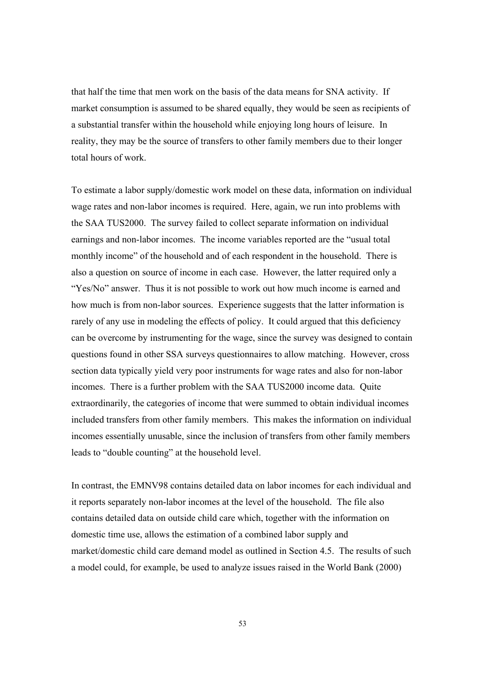that half the time that men work on the basis of the data means for SNA activity. If market consumption is assumed to be shared equally, they would be seen as recipients of a substantial transfer within the household while enjoying long hours of leisure. In reality, they may be the source of transfers to other family members due to their longer total hours of work.

To estimate a labor supply/domestic work model on these data, information on individual wage rates and non-labor incomes is required. Here, again, we run into problems with the SAA TUS2000. The survey failed to collect separate information on individual earnings and non-labor incomes. The income variables reported are the "usual total monthly income" of the household and of each respondent in the household. There is also a question on source of income in each case. However, the latter required only a "Yes/No" answer. Thus it is not possible to work out how much income is earned and how much is from non-labor sources. Experience suggests that the latter information is rarely of any use in modeling the effects of policy. It could argued that this deficiency can be overcome by instrumenting for the wage, since the survey was designed to contain questions found in other SSA surveys questionnaires to allow matching. However, cross section data typically yield very poor instruments for wage rates and also for non-labor incomes. There is a further problem with the SAA TUS2000 income data. Quite extraordinarily, the categories of income that were summed to obtain individual incomes included transfers from other family members. This makes the information on individual incomes essentially unusable, since the inclusion of transfers from other family members leads to "double counting" at the household level.

In contrast, the EMNV98 contains detailed data on labor incomes for each individual and it reports separately non-labor incomes at the level of the household. The file also contains detailed data on outside child care which, together with the information on domestic time use, allows the estimation of a combined labor supply and market/domestic child care demand model as outlined in Section 4.5. The results of such a model could, for example, be used to analyze issues raised in the World Bank (2000)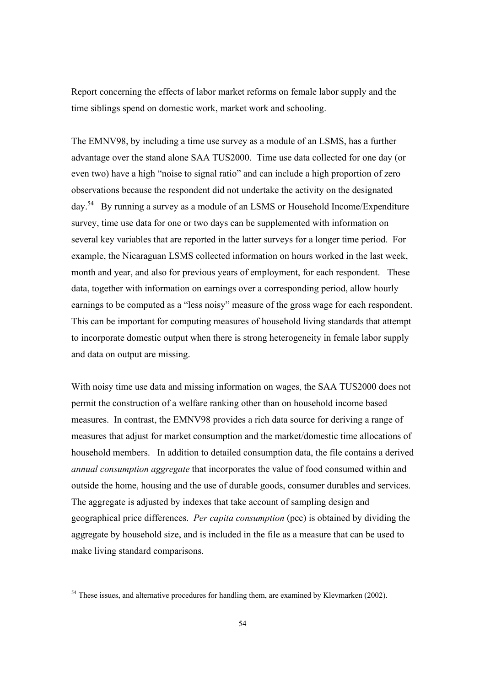Report concerning the effects of labor market reforms on female labor supply and the time siblings spend on domestic work, market work and schooling.

The EMNV98, by including a time use survey as a module of an LSMS, has a further advantage over the stand alone SAA TUS2000. Time use data collected for one day (or even two) have a high "noise to signal ratio" and can include a high proportion of zero observations because the respondent did not undertake the activity on the designated day.54 By running a survey as a module of an LSMS or Household Income/Expenditure survey, time use data for one or two days can be supplemented with information on several key variables that are reported in the latter surveys for a longer time period. For example, the Nicaraguan LSMS collected information on hours worked in the last week, month and year, and also for previous years of employment, for each respondent. These data, together with information on earnings over a corresponding period, allow hourly earnings to be computed as a "less noisy" measure of the gross wage for each respondent. This can be important for computing measures of household living standards that attempt to incorporate domestic output when there is strong heterogeneity in female labor supply and data on output are missing.

With noisy time use data and missing information on wages, the SAA TUS2000 does not permit the construction of a welfare ranking other than on household income based measures. In contrast, the EMNV98 provides a rich data source for deriving a range of measures that adjust for market consumption and the market/domestic time allocations of household members. In addition to detailed consumption data, the file contains a derived *annual consumption aggregate* that incorporates the value of food consumed within and outside the home, housing and the use of durable goods, consumer durables and services. The aggregate is adjusted by indexes that take account of sampling design and geographical price differences. *Per capita consumption* (pcc) is obtained by dividing the aggregate by household size, and is included in the file as a measure that can be used to make living standard comparisons.

 $54$  These issues, and alternative procedures for handling them, are examined by Klevmarken (2002).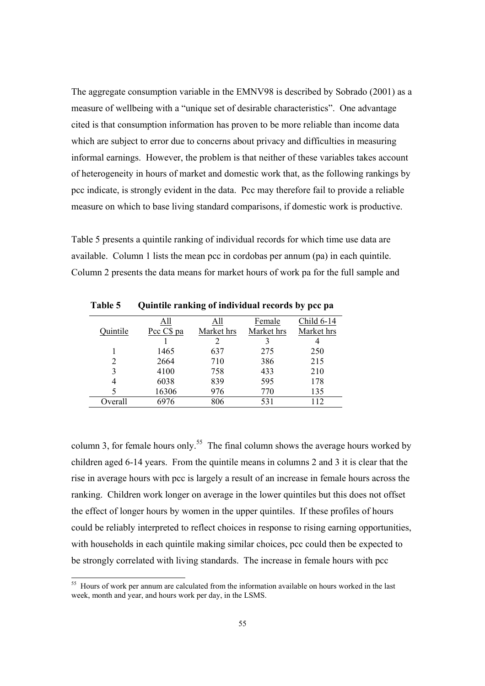The aggregate consumption variable in the EMNV98 is described by Sobrado (2001) as a measure of wellbeing with a "unique set of desirable characteristics". One advantage cited is that consumption information has proven to be more reliable than income data which are subject to error due to concerns about privacy and difficulties in measuring informal earnings. However, the problem is that neither of these variables takes account of heterogeneity in hours of market and domestic work that, as the following rankings by pcc indicate, is strongly evident in the data. Pcc may therefore fail to provide a reliable measure on which to base living standard comparisons, if domestic work is productive.

Table 5 presents a quintile ranking of individual records for which time use data are available. Column 1 lists the mean pcc in cordobas per annum (pa) in each quintile. Column 2 presents the data means for market hours of work pa for the full sample and

|          | All        | All        | Female     | Child 6-14     |
|----------|------------|------------|------------|----------------|
| Quintile | Pcc C\$ pa | Market hrs | Market hrs | Market hrs     |
|          |            | 2          |            |                |
|          | 1465       | 637        | 275        | 250            |
| 2        | 2664       | 710        | 386        | 215            |
| 3        | 4100       | 758        | 433        | 210            |
|          | 6038       | 839        | 595        | 178            |
|          | 16306      | 976        | 770        | 135            |
| Overall  | 6976       | 806        | 531        | $\overline{1}$ |

**Table 5 Quintile ranking of individual records by pcc pa** 

column 3, for female hours only.<sup>55</sup> The final column shows the average hours worked by children aged 6-14 years. From the quintile means in columns 2 and 3 it is clear that the rise in average hours with pcc is largely a result of an increase in female hours across the ranking. Children work longer on average in the lower quintiles but this does not offset the effect of longer hours by women in the upper quintiles. If these profiles of hours could be reliably interpreted to reflect choices in response to rising earning opportunities, with households in each quintile making similar choices, pcc could then be expected to be strongly correlated with living standards. The increase in female hours with pcc

<sup>&</sup>lt;sup>55</sup> Hours of work per annum are calculated from the information available on hours worked in the last week, month and year, and hours work per day, in the LSMS.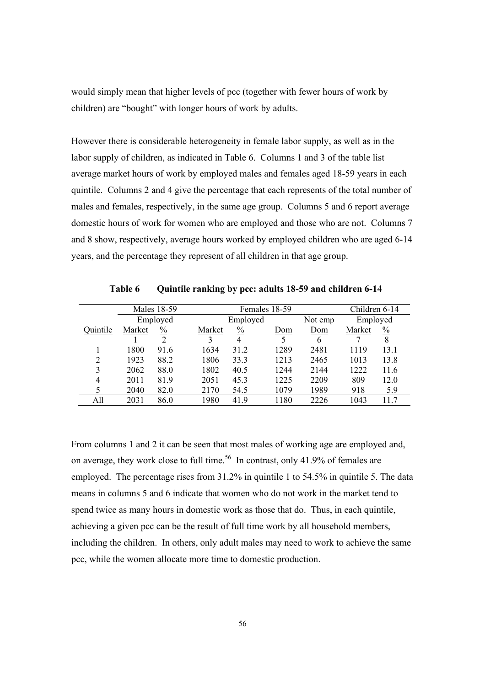would simply mean that higher levels of pcc (together with fewer hours of work by children) are "bought" with longer hours of work by adults.

However there is considerable heterogeneity in female labor supply, as well as in the labor supply of children, as indicated in Table 6. Columns 1 and 3 of the table list average market hours of work by employed males and females aged 18-59 years in each quintile. Columns 2 and 4 give the percentage that each represents of the total number of males and females, respectively, in the same age group. Columns 5 and 6 report average domestic hours of work for women who are employed and those who are not. Columns 7 and 8 show, respectively, average hours worked by employed children who are aged 6-14 years, and the percentage they represent of all children in that age group.

|          |        | Males 18-59   |        |               | Females 18-59 |           | Children 6-14 |               |
|----------|--------|---------------|--------|---------------|---------------|-----------|---------------|---------------|
|          |        | Employed      |        | Employed      |               | $Not$ emp | Employed      |               |
| Quintile | Market | $\frac{0}{0}$ | Market | $\frac{0}{0}$ | Dom           | Dom       | Market        | $\frac{0}{0}$ |
|          |        | C             |        | 4             | 5             | 6         |               | 8             |
|          | 1800   | 91.6          | 1634   | 31.2          | 1289          | 2481      | 1119          | 13.1          |
| 2        | 1923   | 88.2          | 1806   | 33.3          | 1213          | 2465      | 1013          | 13.8          |
| 3        | 2062   | 88.0          | 1802   | 40.5          | 1244          | 2144      | 1222          | 11.6          |
| 4        | 2011   | 81.9          | 2051   | 45.3          | 1225          | 2209      | 809           | 12.0          |
| 5        | 2040   | 82.0          | 2170   | 54.5          | 1079          | 1989      | 918           | 5.9           |
| All      | 2031   | 86.0          | 1980   | 41.9          | 1180          | 2226      | 1043          | 11.7          |

**Table 6 Quintile ranking by pcc: adults 18-59 and children 6-14** 

From columns 1 and 2 it can be seen that most males of working age are employed and, on average, they work close to full time.<sup>56</sup> In contrast, only 41.9% of females are employed. The percentage rises from 31.2% in quintile 1 to 54.5% in quintile 5. The data means in columns 5 and 6 indicate that women who do not work in the market tend to spend twice as many hours in domestic work as those that do. Thus, in each quintile, achieving a given pcc can be the result of full time work by all household members, including the children. In others, only adult males may need to work to achieve the same pcc, while the women allocate more time to domestic production.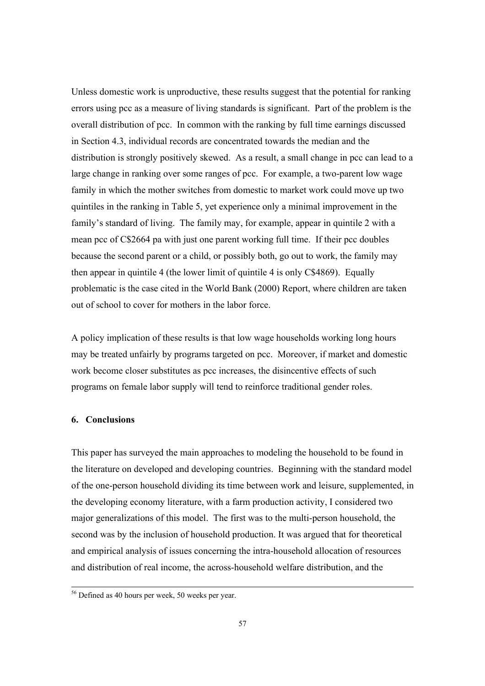Unless domestic work is unproductive, these results suggest that the potential for ranking errors using pcc as a measure of living standards is significant. Part of the problem is the overall distribution of pcc. In common with the ranking by full time earnings discussed in Section 4.3, individual records are concentrated towards the median and the distribution is strongly positively skewed. As a result, a small change in pcc can lead to a large change in ranking over some ranges of pcc. For example, a two-parent low wage family in which the mother switches from domestic to market work could move up two quintiles in the ranking in Table 5, yet experience only a minimal improvement in the family's standard of living. The family may, for example, appear in quintile 2 with a mean pcc of C\$2664 pa with just one parent working full time. If their pcc doubles because the second parent or a child, or possibly both, go out to work, the family may then appear in quintile 4 (the lower limit of quintile 4 is only C\$4869). Equally problematic is the case cited in the World Bank (2000) Report, where children are taken out of school to cover for mothers in the labor force.

A policy implication of these results is that low wage households working long hours may be treated unfairly by programs targeted on pcc. Moreover, if market and domestic work become closer substitutes as pcc increases, the disincentive effects of such programs on female labor supply will tend to reinforce traditional gender roles.

#### **6. Conclusions**

This paper has surveyed the main approaches to modeling the household to be found in the literature on developed and developing countries. Beginning with the standard model of the one-person household dividing its time between work and leisure, supplemented, in the developing economy literature, with a farm production activity, I considered two major generalizations of this model. The first was to the multi-person household, the second was by the inclusion of household production. It was argued that for theoretical and empirical analysis of issues concerning the intra-household allocation of resources and distribution of real income, the across-household welfare distribution, and the

 <sup>56</sup> Defined as 40 hours per week, 50 weeks per year.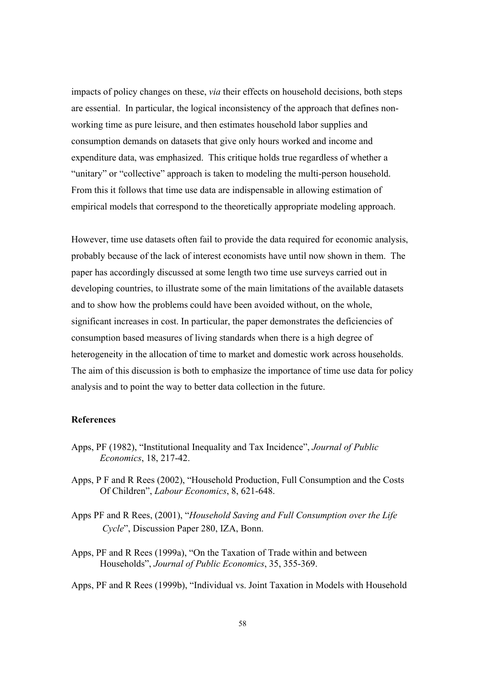impacts of policy changes on these, *via* their effects on household decisions, both steps are essential. In particular, the logical inconsistency of the approach that defines nonworking time as pure leisure, and then estimates household labor supplies and consumption demands on datasets that give only hours worked and income and expenditure data, was emphasized. This critique holds true regardless of whether a "unitary" or "collective" approach is taken to modeling the multi-person household. From this it follows that time use data are indispensable in allowing estimation of empirical models that correspond to the theoretically appropriate modeling approach.

However, time use datasets often fail to provide the data required for economic analysis, probably because of the lack of interest economists have until now shown in them. The paper has accordingly discussed at some length two time use surveys carried out in developing countries, to illustrate some of the main limitations of the available datasets and to show how the problems could have been avoided without, on the whole, significant increases in cost. In particular, the paper demonstrates the deficiencies of consumption based measures of living standards when there is a high degree of heterogeneity in the allocation of time to market and domestic work across households. The aim of this discussion is both to emphasize the importance of time use data for policy analysis and to point the way to better data collection in the future.

#### **References**

- Apps, PF (1982), "Institutional Inequality and Tax Incidence", *Journal of Public Economics*, 18, 217-42.
- Apps, P F and R Rees (2002), "Household Production, Full Consumption and the Costs Of Children", *Labour Economics*, 8, 621-648.
- Apps PF and R Rees, (2001), "*Household Saving and Full Consumption over the Life Cycle*", Discussion Paper 280, IZA, Bonn.
- Apps, PF and R Rees (1999a), "On the Taxation of Trade within and between Households", *Journal of Public Economics*, 35, 355-369.
- Apps, PF and R Rees (1999b), "Individual vs. Joint Taxation in Models with Household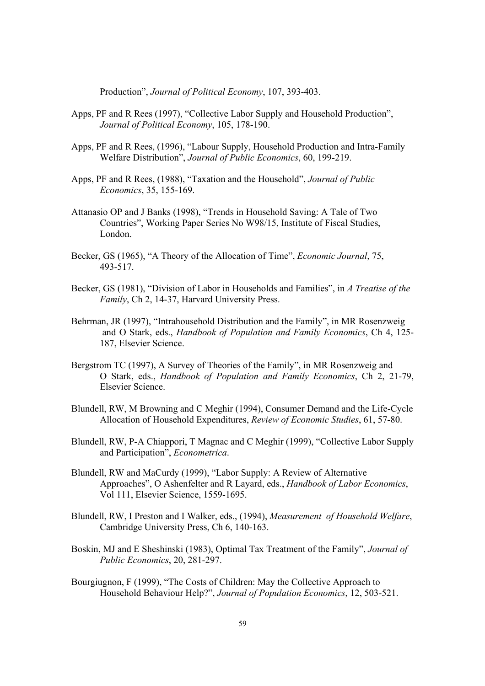Production", *Journal of Political Economy*, 107, 393-403.

- Apps, PF and R Rees (1997), "Collective Labor Supply and Household Production", *Journal of Political Economy*, 105, 178-190.
- Apps, PF and R Rees, (1996), "Labour Supply, Household Production and Intra-Family Welfare Distribution", *Journal of Public Economics*, 60, 199-219.
- Apps, PF and R Rees, (1988), "Taxation and the Household", *Journal of Public Economics*, 35, 155-169.
- Attanasio OP and J Banks (1998), "Trends in Household Saving: A Tale of Two Countries", Working Paper Series No W98/15, Institute of Fiscal Studies, London.
- Becker, GS (1965), "A Theory of the Allocation of Time", *Economic Journal*, 75, 493-517.
- Becker, GS (1981), "Division of Labor in Households and Families", in *A Treatise of the Family*, Ch 2, 14-37, Harvard University Press.
- Behrman, JR (1997), "Intrahousehold Distribution and the Family", in MR Rosenzweig and O Stark, eds., *Handbook of Population and Family Economics*, Ch 4, 125- 187, Elsevier Science.
- Bergstrom TC (1997), A Survey of Theories of the Family", in MR Rosenzweig and O Stark, eds., *Handbook of Population and Family Economics*, Ch 2, 21-79, Elsevier Science.
- Blundell, RW, M Browning and C Meghir (1994), Consumer Demand and the Life-Cycle Allocation of Household Expenditures, *Review of Economic Studies*, 61, 57-80.
- Blundell, RW, P-A Chiappori, T Magnac and C Meghir (1999), "Collective Labor Supply and Participation", *Econometrica*.
- Blundell, RW and MaCurdy (1999), "Labor Supply: A Review of Alternative Approaches", O Ashenfelter and R Layard, eds., *Handbook of Labor Economics*, Vol 111, Elsevier Science, 1559-1695.
- Blundell, RW, I Preston and I Walker, eds., (1994), *Measurement of Household Welfare*, Cambridge University Press, Ch 6, 140-163.
- Boskin, MJ and E Sheshinski (1983), Optimal Tax Treatment of the Family", *Journal of Public Economics*, 20, 281-297.
- Bourgiugnon, F (1999), "The Costs of Children: May the Collective Approach to Household Behaviour Help?", *Journal of Population Economics*, 12, 503-521.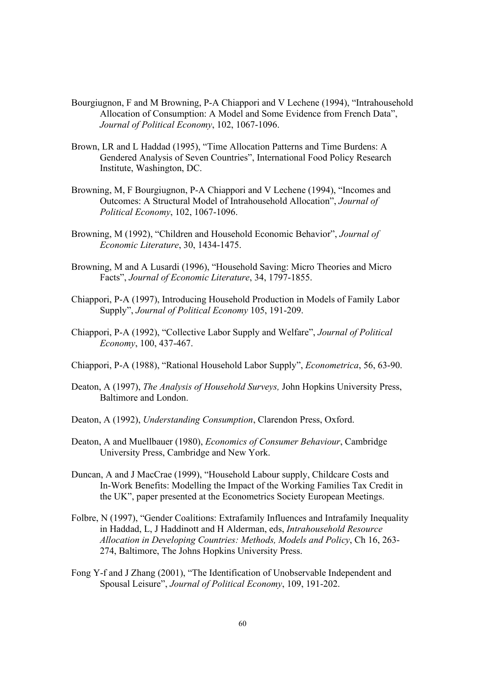- Bourgiugnon, F and M Browning, P-A Chiappori and V Lechene (1994), "Intrahousehold Allocation of Consumption: A Model and Some Evidence from French Data", *Journal of Political Economy*, 102, 1067-1096.
- Brown, LR and L Haddad (1995), "Time Allocation Patterns and Time Burdens: A Gendered Analysis of Seven Countries", International Food Policy Research Institute, Washington, DC.
- Browning, M, F Bourgiugnon, P-A Chiappori and V Lechene (1994), "Incomes and Outcomes: A Structural Model of Intrahousehold Allocation", *Journal of Political Economy*, 102, 1067-1096.
- Browning, M (1992), "Children and Household Economic Behavior", *Journal of Economic Literature*, 30, 1434-1475.
- Browning, M and A Lusardi (1996), "Household Saving: Micro Theories and Micro Facts", *Journal of Economic Literature*, 34, 1797-1855.
- Chiappori, P-A (1997), Introducing Household Production in Models of Family Labor Supply", *Journal of Political Economy* 105, 191-209.
- Chiappori, P-A (1992), "Collective Labor Supply and Welfare", *Journal of Political Economy*, 100, 437-467.
- Chiappori, P-A (1988), "Rational Household Labor Supply", *Econometrica*, 56, 63-90.
- Deaton, A (1997), *The Analysis of Household Surveys,* John Hopkins University Press, Baltimore and London.
- Deaton, A (1992), *Understanding Consumption*, Clarendon Press, Oxford.
- Deaton, A and Muellbauer (1980), *Economics of Consumer Behaviour*, Cambridge University Press, Cambridge and New York.
- Duncan, A and J MacCrae (1999), "Household Labour supply, Childcare Costs and In-Work Benefits: Modelling the Impact of the Working Families Tax Credit in the UK", paper presented at the Econometrics Society European Meetings.
- Folbre, N (1997), "Gender Coalitions: Extrafamily Influences and Intrafamily Inequality in Haddad, L, J Haddinott and H Alderman, eds, *Intrahousehold Resource Allocation in Developing Countries: Methods, Models and Policy*, Ch 16, 263- 274, Baltimore, The Johns Hopkins University Press.
- Fong Y-f and J Zhang (2001), "The Identification of Unobservable Independent and Spousal Leisure", *Journal of Political Economy*, 109, 191-202.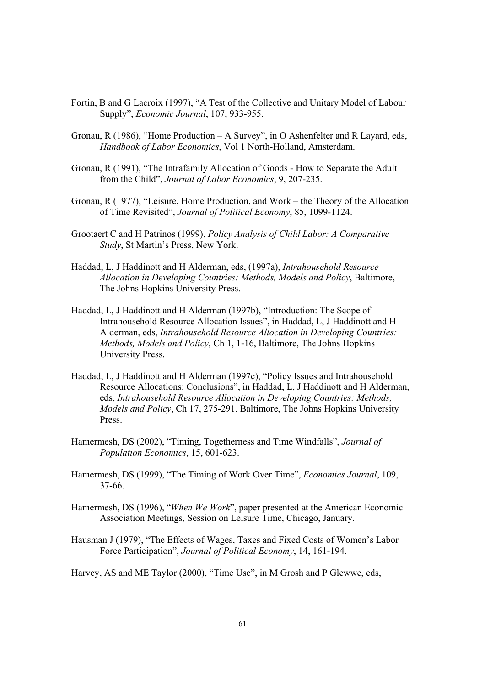- Fortin, B and G Lacroix (1997), "A Test of the Collective and Unitary Model of Labour Supply", *Economic Journal*, 107, 933-955.
- Gronau, R (1986), "Home Production A Survey", in O Ashenfelter and R Layard, eds, *Handbook of Labor Economics*, Vol 1 North-Holland, Amsterdam.
- Gronau, R (1991), "The Intrafamily Allocation of Goods How to Separate the Adult from the Child", *Journal of Labor Economics*, 9, 207-235.
- Gronau, R (1977), "Leisure, Home Production, and Work the Theory of the Allocation of Time Revisited", *Journal of Political Economy*, 85, 1099-1124.
- Grootaert C and H Patrinos (1999), *Policy Analysis of Child Labor: A Comparative Study*, St Martin's Press, New York.
- Haddad, L, J Haddinott and H Alderman, eds, (1997a), *Intrahousehold Resource Allocation in Developing Countries: Methods, Models and Policy*, Baltimore, The Johns Hopkins University Press.
- Haddad, L, J Haddinott and H Alderman (1997b), "Introduction: The Scope of Intrahousehold Resource Allocation Issues", in Haddad, L, J Haddinott and H Alderman, eds, *Intrahousehold Resource Allocation in Developing Countries: Methods, Models and Policy*, Ch 1, 1-16, Baltimore, The Johns Hopkins University Press.
- Haddad, L, J Haddinott and H Alderman (1997c), "Policy Issues and Intrahousehold Resource Allocations: Conclusions", in Haddad, L, J Haddinott and H Alderman, eds, *Intrahousehold Resource Allocation in Developing Countries: Methods, Models and Policy*, Ch 17, 275-291, Baltimore, The Johns Hopkins University Press.
- Hamermesh, DS (2002), "Timing, Togetherness and Time Windfalls", *Journal of Population Economics*, 15, 601-623.
- Hamermesh, DS (1999), "The Timing of Work Over Time", *Economics Journal*, 109, 37-66.
- Hamermesh, DS (1996), "*When We Work*", paper presented at the American Economic Association Meetings, Session on Leisure Time, Chicago, January.
- Hausman J (1979), "The Effects of Wages, Taxes and Fixed Costs of Women's Labor Force Participation", *Journal of Political Economy*, 14, 161-194.

Harvey, AS and ME Taylor (2000), "Time Use", in M Grosh and P Glewwe, eds,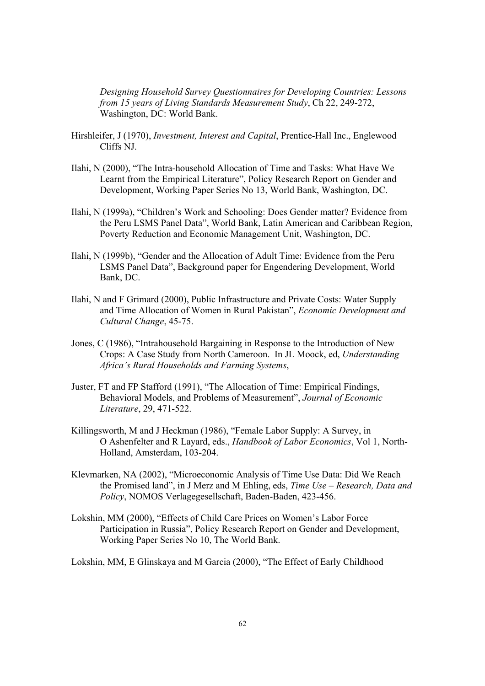*Designing Household Survey Questionnaires for Developing Countries: Lessons from 15 years of Living Standards Measurement Study*, Ch 22, 249-272, Washington, DC: World Bank.

- Hirshleifer, J (1970), *Investment, Interest and Capital*, Prentice-Hall Inc., Englewood Cliffs NJ.
- Ilahi, N (2000), "The Intra-household Allocation of Time and Tasks: What Have We Learnt from the Empirical Literature", Policy Research Report on Gender and Development, Working Paper Series No 13, World Bank, Washington, DC.
- Ilahi, N (1999a), "Children's Work and Schooling: Does Gender matter? Evidence from the Peru LSMS Panel Data", World Bank, Latin American and Caribbean Region, Poverty Reduction and Economic Management Unit, Washington, DC.
- Ilahi, N (1999b), "Gender and the Allocation of Adult Time: Evidence from the Peru LSMS Panel Data", Background paper for Engendering Development, World Bank, DC.
- Ilahi, N and F Grimard (2000), Public Infrastructure and Private Costs: Water Supply and Time Allocation of Women in Rural Pakistan", *Economic Development and Cultural Change*, 45-75.
- Jones, C (1986), "Intrahousehold Bargaining in Response to the Introduction of New Crops: A Case Study from North Cameroon. In JL Moock, ed, *Understanding Africa's Rural Households and Farming Systems*,
- Juster, FT and FP Stafford (1991), "The Allocation of Time: Empirical Findings, Behavioral Models, and Problems of Measurement", *Journal of Economic Literature*, 29, 471-522.
- Killingsworth, M and J Heckman (1986), "Female Labor Supply: A Survey, in O Ashenfelter and R Layard, eds., *Handbook of Labor Economics*, Vol 1, North-Holland, Amsterdam, 103-204.
- Klevmarken, NA (2002), "Microeconomic Analysis of Time Use Data: Did We Reach the Promised land", in J Merz and M Ehling, eds, *Time Use – Research, Data and Policy*, NOMOS Verlagegesellschaft, Baden-Baden, 423-456.
- Lokshin, MM (2000), "Effects of Child Care Prices on Women's Labor Force Participation in Russia", Policy Research Report on Gender and Development, Working Paper Series No 10, The World Bank.

Lokshin, MM, E Glinskaya and M Garcia (2000), "The Effect of Early Childhood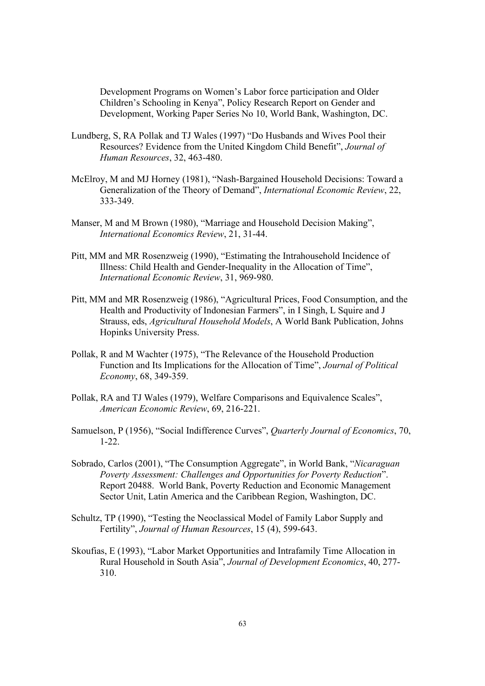Development Programs on Women's Labor force participation and Older Children's Schooling in Kenya", Policy Research Report on Gender and Development, Working Paper Series No 10, World Bank, Washington, DC.

- Lundberg, S, RA Pollak and TJ Wales (1997) "Do Husbands and Wives Pool their Resources? Evidence from the United Kingdom Child Benefit", *Journal of Human Resources*, 32, 463-480.
- McElroy, M and MJ Horney (1981), "Nash-Bargained Household Decisions: Toward a Generalization of the Theory of Demand", *International Economic Review*, 22, 333-349.
- Manser, M and M Brown (1980), "Marriage and Household Decision Making", *International Economics Review*, 21, 31-44.
- Pitt, MM and MR Rosenzweig (1990), "Estimating the Intrahousehold Incidence of Illness: Child Health and Gender-Inequality in the Allocation of Time", *International Economic Review*, 31, 969-980.
- Pitt, MM and MR Rosenzweig (1986), "Agricultural Prices, Food Consumption, and the Health and Productivity of Indonesian Farmers", in I Singh, L Squire and J Strauss, eds, *Agricultural Household Models*, A World Bank Publication, Johns Hopinks University Press.
- Pollak, R and M Wachter (1975), "The Relevance of the Household Production Function and Its Implications for the Allocation of Time", *Journal of Political Economy*, 68, 349-359.
- Pollak, RA and TJ Wales (1979), Welfare Comparisons and Equivalence Scales", *American Economic Review*, 69, 216-221.
- Samuelson, P (1956), "Social Indifference Curves", *Quarterly Journal of Economics*, 70, 1-22.
- Sobrado, Carlos (2001), "The Consumption Aggregate", in World Bank, "*Nicaraguan Poverty Assessment: Challenges and Opportunities for Poverty Reduction*". Report 20488. World Bank, Poverty Reduction and Economic Management Sector Unit, Latin America and the Caribbean Region, Washington, DC.
- Schultz, TP (1990), "Testing the Neoclassical Model of Family Labor Supply and Fertility", *Journal of Human Resources*, 15 (4), 599-643.
- Skoufias, E (1993), "Labor Market Opportunities and Intrafamily Time Allocation in Rural Household in South Asia", *Journal of Development Economics*, 40, 277- 310.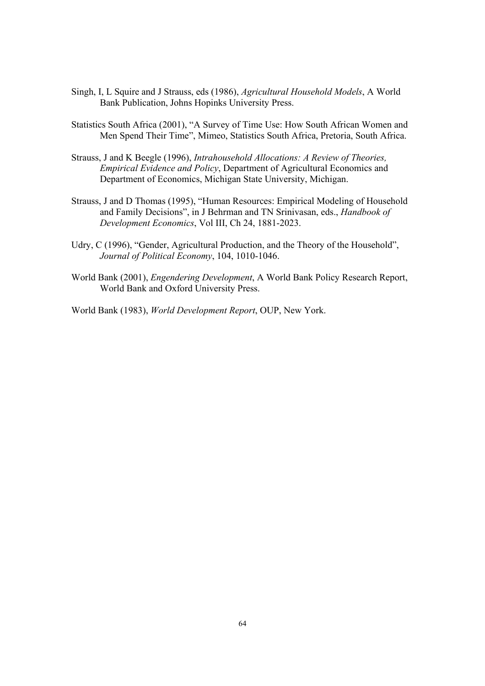- Singh, I, L Squire and J Strauss, eds (1986), *Agricultural Household Models*, A World Bank Publication, Johns Hopinks University Press.
- Statistics South Africa (2001), "A Survey of Time Use: How South African Women and Men Spend Their Time", Mimeo, Statistics South Africa, Pretoria, South Africa.
- Strauss, J and K Beegle (1996), *Intrahousehold Allocations: A Review of Theories, Empirical Evidence and Policy*, Department of Agricultural Economics and Department of Economics, Michigan State University, Michigan.
- Strauss, J and D Thomas (1995), "Human Resources: Empirical Modeling of Household and Family Decisions", in J Behrman and TN Srinivasan, eds., *Handbook of Development Economics*, Vol III, Ch 24, 1881-2023.
- Udry, C (1996), "Gender, Agricultural Production, and the Theory of the Household", *Journal of Political Economy*, 104, 1010-1046.
- World Bank (2001), *Engendering Development*, A World Bank Policy Research Report, World Bank and Oxford University Press.

World Bank (1983), *World Development Report*, OUP, New York.